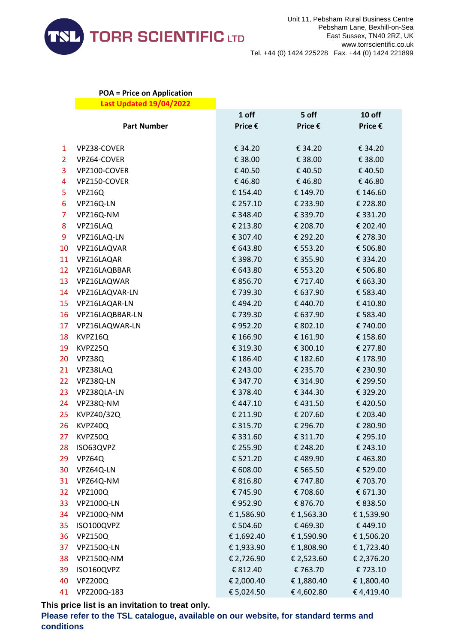

## **POA = Price on Application Last Updated 19/04/2022**

|                |                    | 1 off      | 5 off      | 10 off     |
|----------------|--------------------|------------|------------|------------|
|                | <b>Part Number</b> | Price €    | Price €    | Price €    |
|                |                    |            |            |            |
| $\mathbf{1}$   | VPZ38-COVER        | € 34.20    | € 34.20    | € 34.20    |
| $\overline{2}$ | VPZ64-COVER        | € 38.00    | € 38.00    | € 38.00    |
| 3              | VPZ100-COVER       | € 40.50    | €40.50     | € 40.50    |
| 4              | VPZ150-COVER       | €46.80     | €46.80     | €46.80     |
| 5              | VPZ16Q             | € 154.40   | € 149.70   | € 146.60   |
| 6              | VPZ16Q-LN          | € 257.10   | € 233.90   | € 228.80   |
| $\overline{7}$ | VPZ16Q-NM          | € 348.40   | € 339.70   | € 331.20   |
| 8              | VPZ16LAQ           | € 213.80   | € 208.70   | € 202.40   |
| 9              | VPZ16LAQ-LN        | € 307.40   | € 292.20   | € 278.30   |
| 10             | VPZ16LAQVAR        | € 643.80   | € 553.20   | € 506.80   |
| 11             | VPZ16LAQAR         | € 398.70   | € 355.90   | € 334.20   |
| 12             | VPZ16LAQBBAR       | € 643.80   | € 553.20   | € 506.80   |
| 13             | VPZ16LAQWAR        | € 856.70   | € 717.40   | € 663.30   |
| 14             | VPZ16LAQVAR-LN     | €739.30    | € 637.90   | € 583.40   |
| 15             | VPZ16LAQAR-LN      | €494.20    | €440.70    | €410.80    |
| 16             | VPZ16LAQBBAR-LN    | € 739.30   | € 637.90   | € 583.40   |
| 17             | VPZ16LAQWAR-LN     | €952.20    | € 802.10   | € 740.00   |
| 18             | KVPZ16Q            | € 166.90   | € 161.90   | € 158.60   |
| 19             | KVPZ25Q            | € 319.30   | € 300.10   | € 277.80   |
| 20             | VPZ38Q             | € 186.40   | € 182.60   | € 178.90   |
| 21             | VPZ38LAQ           | € 243.00   | € 235.70   | € 230.90   |
| 22             | VPZ38Q-LN          | € 347.70   | € 314.90   | € 299.50   |
| 23             | VPZ38QLA-LN        | € 378.40   | € 344.30   | € 329.20   |
| 24             | VPZ38Q-NM          | €447.10    | €431.50    | €420.50    |
| 25             | KVPZ40/32Q         | € 211.90   | € 207.60   | € 203.40   |
| 26             | KVPZ40Q            | € 315.70   | € 296.70   | € 280.90   |
| 27             | KVPZ50Q            | € 331.60   | € 311.70   | € 295.10   |
| 28             | ISO63QVPZ          | € 255.90   | € 248.20   | € 243.10   |
| 29             | VPZ64Q             | € 521.20   | €489.90    | €463.80    |
| 30             | VPZ64Q-LN          | € 608.00   | € 565.50   | € 529.00   |
| 31             | VPZ64Q-NM          | € 816.80   | € 747.80   | € 703.70   |
| 32             | <b>VPZ100Q</b>     | €745.90    | € 708.60   | € 671.30   |
| 33             | VPZ100Q-LN         | €952.90    | € 876.70   | € 838.50   |
| 34             | VPZ100Q-NM         | € 1,586.90 | € 1,563.30 | € 1,539.90 |
| 35             | ISO100QVPZ         | € 504.60   | €469.30    | €449.10    |
| 36             | <b>VPZ150Q</b>     | € 1,692.40 | € 1,590.90 | € 1,506.20 |
| 37             | VPZ150Q-LN         | € 1,933.90 | € 1,808.90 | € 1,723.40 |
| 38             | VPZ150Q-NM         | € 2,726.90 | € 2,523.60 | € 2,376.20 |
| 39             | ISO160QVPZ         | € 812.40   | € 763.70   | € 723.10   |
| 40             | <b>VPZ200Q</b>     | € 2,000.40 | € 1,880.40 | € 1,800.40 |
| 41             | VPZ200Q-183        | € 5,024.50 | €4,602.80  | €4,419.40  |

**This price list is an invitation to treat only.**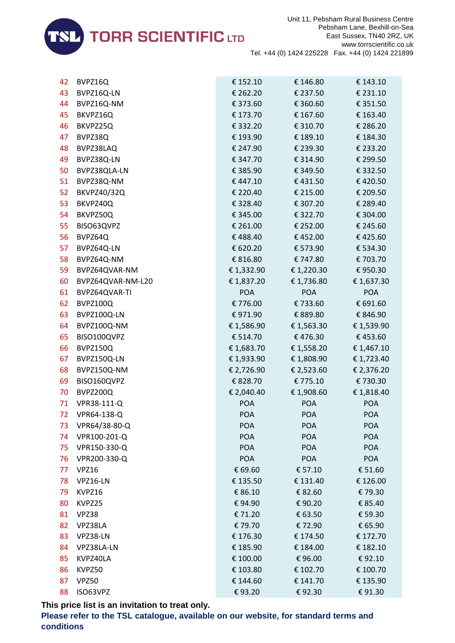

| 42 | BVPZ16Q           | € 152.10   | € 146.80   | € 143.10   |
|----|-------------------|------------|------------|------------|
| 43 | BVPZ16Q-LN        | € 262.20   | € 237.50   | € 231.10   |
| 44 | BVPZ16Q-NM        | € 373.60   | € 360.60   | € 351.50   |
| 45 | BKVPZ16Q          | € 173.70   | € 167.60   | € 163.40   |
| 46 | BKVPZ25Q          | € 332.20   | € 310.70   | € 286.20   |
| 47 | BVPZ38Q           | € 193.90   | € 189.10   | € 184.30   |
| 48 | BVPZ38LAQ         | € 247.90   | € 239.30   | € 233.20   |
| 49 | BVPZ38Q-LN        | € 347.70   | € 314.90   | € 299.50   |
| 50 | BVPZ38QLA-LN      | € 385.90   | € 349.50   | € 332.50   |
| 51 | BVPZ38Q-NM        | €447.10    | €431.50    | €420.50    |
| 52 | BKVPZ40/32Q       | € 220.40   | € 215.00   | € 209.50   |
| 53 | BKVPZ40Q          | € 328.40   | € 307.20   | € 289.40   |
| 54 | BKVPZ50Q          | € 345.00   | € 322.70   | € 304.00   |
| 55 | BISO63QVPZ        | € 261.00   | € 252.00   | € 245.60   |
| 56 | BVPZ64Q           | €488.40    | €452.00    | €425.60    |
| 57 | BVPZ64Q-LN        | € 620.20   | € 573.90   | € 534.30   |
| 58 | BVPZ64Q-NM        | € 816.80   | € 747.80   | € 703.70   |
| 59 | BVPZ64QVAR-NM     | € 1,332.90 | € 1,220.30 | € 950.30   |
| 60 | BVPZ64QVAR-NM-L20 | € 1,837.20 | € 1,736.80 | € 1,637.30 |
| 61 | BVPZ64QVAR-TI     | <b>POA</b> | <b>POA</b> | <b>POA</b> |
| 62 | BVPZ100Q          | € 776.00   | € 733.60   | € 691.60   |
| 63 | BVPZ100Q-LN       | € 971.90   | € 889.80   | € 846.90   |
| 64 | BVPZ100Q-NM       | € 1,586.90 | € 1,563.30 | € 1,539.90 |
| 65 | BISO100QVPZ       | € 514.70   | € 476.30   | €453.60    |
| 66 | BVPZ150Q          | € 1,683.70 | € 1,558.20 | € 1,467.10 |
| 67 | BVPZ150Q-LN       | € 1,933.90 | € 1,808.90 | € 1,723.40 |
| 68 | BVPZ150Q-NM       | € 2,726.90 | € 2,523.60 | € 2,376.20 |
| 69 | BISO160QVPZ       | € 828.70   | € 775.10   | € 730.30   |
| 70 | BVPZ200Q          | € 2,040.40 | € 1,908.60 | € 1,818.40 |
| 71 | VPR38-111-Q       | <b>POA</b> | <b>POA</b> | <b>POA</b> |
| 72 | VPR64-138-Q       | <b>POA</b> | <b>POA</b> | <b>POA</b> |
| 73 | VPR64/38-80-Q     | <b>POA</b> | <b>POA</b> | <b>POA</b> |
| 74 | VPR100-201-Q      | <b>POA</b> | <b>POA</b> | POA        |
| 75 | VPR150-330-Q      | <b>POA</b> | <b>POA</b> | <b>POA</b> |
| 76 | VPR200-330-Q      | POA        | POA        | <b>POA</b> |
| 77 | VPZ16             | € 69.60    | € 57.10    | € 51.60    |
| 78 | VPZ16-LN          | € 135.50   | € 131.40   | € 126.00   |
| 79 | KVPZ16            | € 86.10    | € 82.60    | €79.30     |
| 80 | KVPZ25            | €94.90     | €90.20     | € 85.40    |
| 81 | VPZ38             | € 71.20    | € 63.50    | € 59.30    |
| 82 | VPZ38LA           | € 79.70    | €72.90     | € 65.90    |
| 83 | VPZ38-LN          | € 176.30   | € 174.50   | € 172.70   |
| 84 | VPZ38LA-LN        | € 185.90   | € 184.00   | € 182.10   |
| 85 | KVPZ40LA          | € 100.00   | €96.00     | €92.10     |
| 86 | KVPZ50            | € 103.80   | € 102.70   | € 100.70   |
| 87 | VPZ50             | € 144.60   | € 141.70   | € 135.90   |
| 88 | ISO63VPZ          | €93.20     | €92.30     | €91.30     |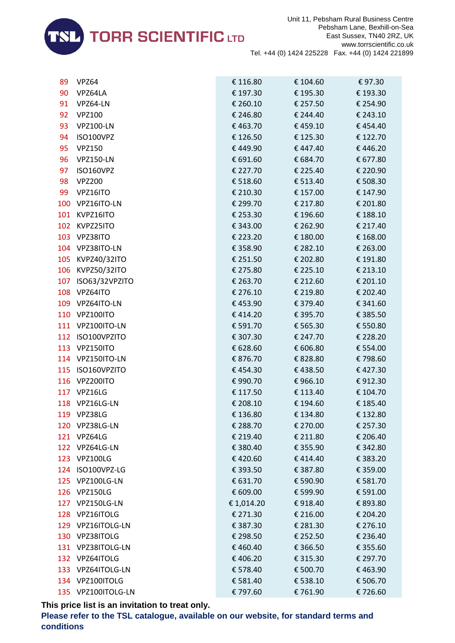

| 89  | VPZ64              | € 116.80   | € 104.60 | €97.30   |
|-----|--------------------|------------|----------|----------|
| 90  | VPZ64LA            | € 197.30   | € 195.30 | € 193.30 |
| 91  | VPZ64-LN           | € 260.10   | € 257.50 | € 254.90 |
| 92  | <b>VPZ100</b>      | € 246.80   | € 244.40 | € 243.10 |
| 93  | <b>VPZ100-LN</b>   | €463.70    | €459.10  | €454.40  |
| 94  | ISO100VPZ          | € 126.50   | € 125.30 | € 122.70 |
| 95  | <b>VPZ150</b>      | €449.90    | €447.40  | €446.20  |
| 96  | <b>VPZ150-LN</b>   | € 691.60   | € 684.70 | € 677.80 |
| 97  | ISO160VPZ          | € 227.70   | € 225.40 | € 220.90 |
| 98  | <b>VPZ200</b>      | € 518.60   | € 513.40 | € 508.30 |
| 99  | VPZ16ITO           | € 210.30   | € 157.00 | € 147.90 |
| 100 | VPZ16ITO-LN        | € 299.70   | € 217.80 | € 201.80 |
| 101 | KVPZ16ITO          | € 253.30   | € 196.60 | € 188.10 |
| 102 | KVPZ25ITO          | € 343.00   | € 262.90 | € 217.40 |
| 103 | VPZ38ITO           | € 223.20   | € 180.00 | € 168.00 |
|     | 104 VPZ38ITO-LN    | € 358.90   | € 282.10 | € 263.00 |
|     | 105 KVPZ40/32ITO   | € 251.50   | € 202.80 | € 191.80 |
| 106 | KVPZ50/32ITO       | € 275.80   | € 225.10 | € 213.10 |
|     | 107 ISO63/32VPZITO | € 263.70   | € 212.60 | € 201.10 |
| 108 | VPZ64ITO           | € 276.10   | € 219.80 | € 202.40 |
|     | 109 VPZ64ITO-LN    | €453.90    | € 379.40 | € 341.60 |
|     | 110 VPZ100ITO      | €414.20    | € 395.70 | € 385.50 |
|     | 111 VPZ100ITO-LN   | € 591.70   | € 565.30 | € 550.80 |
|     | 112 ISO100VPZITO   | € 307.30   | € 247.70 | € 228.20 |
|     | 113 VPZ150ITO      | € 628.60   | € 606.80 | € 554.00 |
|     | 114 VPZ150ITO-LN   | € 876.70   | € 828.80 | €798.60  |
| 115 | ISO160VPZITO       | €454.30    | €438.50  | €427.30  |
| 116 | VPZ200ITO          | € 990.70   | €966.10  | €912.30  |
|     | 117 VPZ16LG        | € 117.50   | € 113.40 | € 104.70 |
|     | 118 VPZ16LG-LN     | € 208.10   | € 194.60 | € 185.40 |
|     | 119 VPZ38LG        | € 136.80   | € 134.80 | € 132.80 |
| 120 | VPZ38LG-LN         | € 288.70   | € 270.00 | € 257.30 |
|     | 121 VPZ64LG        | € 219.40   | € 211.80 | € 206.40 |
|     | 122 VPZ64LG-LN     | € 380.40   | € 355.90 | € 342.80 |
|     | 123 VPZ100LG       | €420.60    | €414.40  | € 383.20 |
|     | 124 ISO100VPZ-LG   | € 393.50   | € 387.80 | € 359.00 |
|     | 125 VPZ100LG-LN    | € 631.70   | € 590.90 | € 581.70 |
|     | 126 VPZ150LG       | € 609.00   | € 599.90 | € 591.00 |
|     | 127 VPZ150LG-LN    | € 1,014.20 | €918.40  | € 893.80 |
|     | 128 VPZ16ITOLG     | € 271.30   | € 216.00 | € 204.20 |
|     | 129 VPZ16ITOLG-LN  | € 387.30   | € 281.30 | € 276.10 |
|     | 130 VPZ38ITOLG     | € 298.50   | € 252.50 | € 236.40 |
|     | 131 VPZ38ITOLG-LN  | €460.40    | € 366.50 | € 355.60 |
|     | 132 VPZ64ITOLG     | €406.20    | € 315.30 | € 297.70 |
|     | 133 VPZ64ITOLG-LN  | € 578.40   | € 500.70 | €463.90  |
|     | 134 VPZ100ITOLG    | € 581.40   | € 538.10 | € 506.70 |
|     | 135 VPZ100ITOLG-LN | € 797.60   | €761.90  | €726.60  |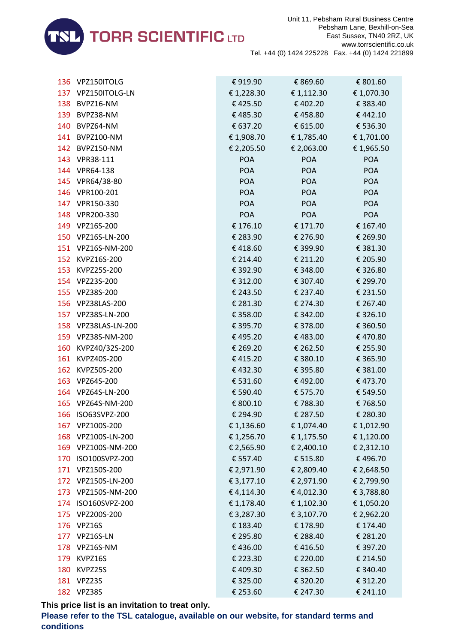

|     | 136 VPZ150ITOLG     | €919.90    | € 869.60   | € 801.60   |
|-----|---------------------|------------|------------|------------|
|     | 137 VPZ150ITOLG-LN  | € 1,228.30 | € 1,112.30 | € 1,070.30 |
|     | 138 BVPZ16-NM       | €425.50    | €402.20    | € 383.40   |
|     | 139 BVPZ38-NM       | €485.30    | €458.80    | €442.10    |
|     | 140 BVPZ64-NM       | € 637.20   | € 615.00   | € 536.30   |
|     | 141 BVPZ100-NM      | € 1,908.70 | € 1,785.40 | € 1,701.00 |
|     | 142 BVPZ150-NM      | € 2,205.50 | € 2,063.00 | € 1,965.50 |
|     | 143 VPR38-111       | <b>POA</b> | <b>POA</b> | <b>POA</b> |
|     | 144 VPR64-138       | <b>POA</b> | <b>POA</b> | <b>POA</b> |
|     | 145 VPR64/38-80     | <b>POA</b> | <b>POA</b> | <b>POA</b> |
|     | 146 VPR100-201      | <b>POA</b> | <b>POA</b> | <b>POA</b> |
|     | 147 VPR150-330      | <b>POA</b> | <b>POA</b> | <b>POA</b> |
|     | 148 VPR200-330      | <b>POA</b> | <b>POA</b> | <b>POA</b> |
|     | 149 VPZ16S-200      | € 176.10   | € 171.70   | € 167.40   |
|     | 150 VPZ16S-LN-200   | € 283.90   | € 276.90   | € 269.90   |
|     | 151 VPZ16S-NM-200   | €418.60    | € 399.90   | € 381.30   |
|     | 152 KVPZ16S-200     | € 214.40   | € 211.20   | € 205.90   |
|     | 153 KVPZ25S-200     | € 392.90   | € 348.00   | € 326.80   |
|     | 154 VPZ23S-200      | € 312.00   | € 307.40   | € 299.70   |
|     | 155 VPZ38S-200      | € 243.50   | € 237.40   | € 231.50   |
|     | 156 VPZ38LAS-200    | € 281.30   | € 274.30   | € 267.40   |
|     | 157 VPZ38S-LN-200   | € 358.00   | € 342.00   | € 326.10   |
|     | 158 VPZ38LAS-LN-200 | € 395.70   | € 378.00   | € 360.50   |
|     | 159 VPZ38S-NM-200   | €495.20    | €483.00    | €470.80    |
|     | 160 KVPZ40/32S-200  | € 269.20   | € 262.50   | € 255.90   |
|     | 161 KVPZ40S-200     | €415.20    | € 380.10   | € 365.90   |
|     | 162 KVPZ50S-200     | €432.30    | € 395.80   | € 381.00   |
|     | 163 VPZ64S-200      | € 531.60   | €492.00    | €473.70    |
|     | 164 VPZ64S-LN-200   | € 590.40   | € 575.70   | € 549.50   |
|     | 165 VPZ64S-NM-200   | € 800.10   | €788.30    | €768.50    |
|     | 166 ISO63SVPZ-200   | € 294.90   | € 287.50   | € 280.30   |
|     | 167 VPZ100S-200     | € 1,136.60 | € 1,074.40 | € 1,012.90 |
|     | 168 VPZ100S-LN-200  | € 1,256.70 | € 1,175.50 | € 1,120.00 |
|     | 169 VPZ100S-NM-200  | € 2,565.90 | € 2,400.10 | € 2,312.10 |
| 170 | ISO100SVPZ-200      | € 557.40   | € 515.80   | €496.70    |
|     | 171 VPZ150S-200     | € 2,971.90 | € 2,809.40 | € 2,648.50 |
|     | 172 VPZ150S-LN-200  | € 3,177.10 | € 2,971.90 | € 2,799.90 |
|     | 173 VPZ150S-NM-200  | €4,114.30  | €4,012.30  | € 3,788.80 |
|     | 174 ISO160SVPZ-200  | € 1,178.40 | € 1,102.30 | € 1,050.20 |
|     | 175 VPZ200S-200     | € 3,287.30 | € 3,107.70 | € 2,962.20 |
| 176 | VPZ16S              | € 183.40   | € 178.90   | € 174.40   |
|     | 177 VPZ16S-LN       | € 295.80   | € 288.40   | € 281.20   |
|     | 178 VPZ16S-NM       | €436.00    | €416.50    | € 397.20   |
| 179 | KVPZ16S             | € 223.30   | € 220.00   | € 214.50   |
| 180 | KVPZ25S             | €409.30    | € 362.50   | € 340.40   |
| 181 | VPZ23S              | € 325.00   | € 320.20   | € 312.20   |
|     | 182 VPZ38S          | € 253.60   | € 247.30   | € 241.10   |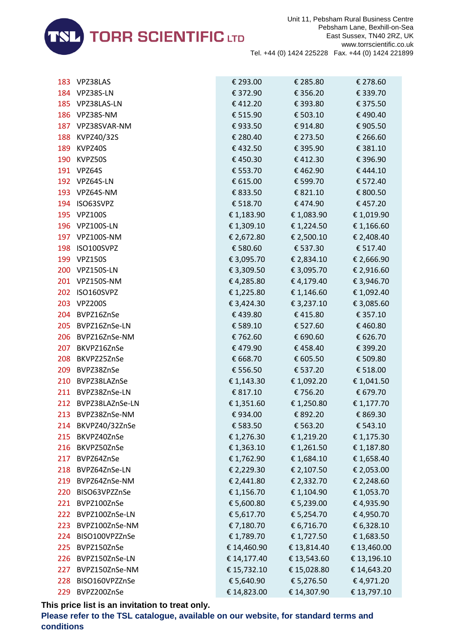

| 183 | VPZ38LAS            | € 293.00    | € 285.80    | € 278.60    |
|-----|---------------------|-------------|-------------|-------------|
|     | 184 VPZ38S-LN       | € 372.90    | € 356.20    | € 339.70    |
|     | 185 VPZ38LAS-LN     | €412.20     | € 393.80    | € 375.50    |
|     | 186 VPZ38S-NM       | € 515.90    | € 503.10    | €490.40     |
|     | 187 VPZ38SVAR-NM    | €933.50     | €914.80     | € 905.50    |
|     | 188 KVPZ40/32S      | € 280.40    | € 273.50    | € 266.60    |
| 189 | KVPZ40S             | €432.50     | € 395.90    | € 381.10    |
|     | 190 KVPZ50S         | €450.30     | €412.30     | € 396.90    |
|     | 191 VPZ64S          | € 553.70    | €462.90     | €444.10     |
|     | 192 VPZ64S-LN       | € 615.00    | € 599.70    | € 572.40    |
|     | 193 VPZ64S-NM       | € 833.50    | € 821.10    | € 800.50    |
|     | 194 ISO63SVPZ       | € 518.70    | € 474.90    | € 457.20    |
|     | 195 VPZ100S         | € 1,183.90  | € 1,083.90  | € 1,019.90  |
|     | 196 VPZ100S-LN      | € 1,309.10  | € 1,224.50  | € 1,166.60  |
|     | 197 VPZ100S-NM      | € 2,672.80  | € 2,500.10  | € 2,408.40  |
|     | 198 ISO100SVPZ      | € 580.60    | € 537.30    | € 517.40    |
|     | 199 VPZ150S         | € 3,095.70  | € 2,834.10  | € 2,666.90  |
|     | 200 VPZ150S-LN      | € 3,309.50  | € 3,095.70  | € 2,916.60  |
|     | 201 VPZ150S-NM      | €4,285.80   | € 4,179.40  | € 3,946.70  |
|     | 202 ISO160SVPZ      | € 1,225.80  | € 1,146.60  | € 1,092.40  |
|     | 203 VPZ200S         | € 3,424.30  | € 3,237.10  | € 3,085.60  |
|     | 204 BVPZ16ZnSe      | € 439.80    | €415.80     | € 357.10    |
|     | 205 BVPZ16ZnSe-LN   | € 589.10    | € 527.60    | €460.80     |
| 206 | BVPZ16ZnSe-NM       | € 762.60    | € 690.60    | € 626.70    |
| 207 | BKVPZ16ZnSe         | € 479.90    | €458.40     | € 399.20    |
|     | 208 BKVPZ25ZnSe     | € 668.70    | € 605.50    | € 509.80    |
|     | 209 BVPZ38ZnSe      | € 556.50    | € 537.20    | € 518.00    |
| 210 | BVPZ38LAZnSe        | € 1,143.30  | € 1,092.20  | € 1,041.50  |
|     | 211 BVPZ38ZnSe-LN   | € 817.10    | € 756.20    | € 679.70    |
|     | 212 BVPZ38LAZnSe-LN | € 1,351.60  | € 1,250.80  | € 1,177.70  |
|     | 213 BVPZ38ZnSe-NM   | €934.00     | € 892.20    | € 869.30    |
| 214 | BKVPZ40/32ZnSe      | € 583.50    | € 563.20    | € 543.10    |
| 215 | BKVPZ40ZnSe         | € 1,276.30  | € 1,219.20  | € 1,175.30  |
| 216 | BKVPZ50ZnSe         | € 1,363.10  | € 1,261.50  | € 1,187.80  |
| 217 | BVPZ64ZnSe          | € 1,762.90  | € 1,684.10  | € 1,658.40  |
| 218 | BVPZ64ZnSe-LN       | € 2,229.30  | € 2,107.50  | € 2,053.00  |
| 219 | BVPZ64ZnSe-NM       | € 2,441.80  | € 2,332.70  | € 2,248.60  |
| 220 | BISO63VPZZnSe       | € 1,156.70  | € 1,104.90  | € 1,053.70  |
| 221 | BVPZ100ZnSe         | € 5,600.80  | € 5,239.00  | €4,935.90   |
| 222 | BVPZ100ZnSe-LN      | € 5,617.70  | € 5,254.70  | €4,950.70   |
| 223 | BVPZ100ZnSe-NM      | € 7,180.70  | € 6,716.70  | € 6,328.10  |
| 224 | BISO100VPZZnSe      | € 1,789.70  | € 1,727.50  | € 1,683.50  |
| 225 | BVPZ150ZnSe         | € 14,460.90 | € 13,814.40 | € 13,460.00 |
| 226 | BVPZ150ZnSe-LN      | € 14,177.40 | € 13,543.60 | € 13,196.10 |
| 227 | BVPZ150ZnSe-NM      | € 15,732.10 | € 15,028.80 | € 14,643.20 |
| 228 | BISO160VPZZnSe      | € 5,640.90  | € 5,276.50  | €4,971.20   |
| 229 | BVPZ200ZnSe         | € 14,823.00 | € 14,307.90 | € 13,797.10 |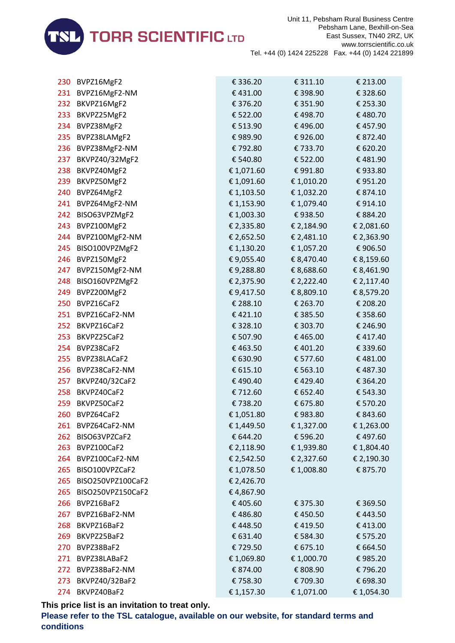

| 230  | BVPZ16MgF2        | € 336.20   | € 311.10   | € 213.00   |
|------|-------------------|------------|------------|------------|
|      | 231 BVPZ16MgF2-NM | €431.00    | € 398.90   | € 328.60   |
|      | 232 BKVPZ16MgF2   | € 376.20   | € 351.90   | € 253.30   |
| 233  | BKVPZ25MgF2       | € 522.00   | €498.70    | €480.70    |
| 234  | BVPZ38MgF2        | € 513.90   | €496.00    | €457.90    |
| 235  | BVPZ38LAMgF2      | €989.90    | €926.00    | € 872.40   |
| 236  | BVPZ38MgF2-NM     | €792.80    | €733.70    | € 620.20   |
| 237  | BKVPZ40/32MgF2    | € 540.80   | € 522.00   | €481.90    |
| 238  | BKVPZ40MgF2       | € 1,071.60 | €991.80    | €933.80    |
| 239  | BKVPZ50MgF2       | € 1,091.60 | € 1,010.20 | €951.20    |
| 240  | BVPZ64MgF2        | € 1,103.50 | € 1,032.20 | € 874.10   |
| 241  | BVPZ64MgF2-NM     | € 1,153.90 | € 1,079.40 | € 914.10   |
| 242  | BISO63VPZMgF2     | € 1,003.30 | €938.50    | € 884.20   |
| 243  | BVPZ100MgF2       | € 2,335.80 | € 2,184.90 | € 2,081.60 |
| 244  | BVPZ100MgF2-NM    | € 2,652.50 | € 2,481.10 | € 2,363.90 |
| 245  | BISO100VPZMgF2    | € 1,130.20 | € 1,057.20 | € 906.50   |
| 246  | BVPZ150MgF2       | € 9,055.40 | € 8,470.40 | € 8,159.60 |
| 247  | BVPZ150MgF2-NM    | €9,288.80  | € 8,688.60 | € 8,461.90 |
| 248  | BISO160VPZMgF2    | € 2,375.90 | € 2,222.40 | € 2,117.40 |
| 249  | BVPZ200MgF2       | € 9,417.50 | € 8,809.10 | € 8,579.20 |
| 250  | BVPZ16CaF2        | € 288.10   | € 263.70   | € 208.20   |
| 251  | BVPZ16CaF2-NM     | €421.10    | € 385.50   | € 358.60   |
| 252  | BKVPZ16CaF2       | € 328.10   | € 303.70   | € 246.90   |
| 253  | BKVPZ25CaF2       | € 507.90   | €465.00    | €417.40    |
| 254  | BVPZ38CaF2        | €463.50    | € 401.20   | € 339.60   |
| 255  | BVPZ38LACaF2      | € 630.90   | € 577.60   | €481.00    |
| 256  | BVPZ38CaF2-NM     | € 615.10   | € 563.10   | €487.30    |
| 257  | BKVPZ40/32CaF2    | €490.40    | €429.40    | € 364.20   |
| 258  | BKVPZ40CaF2       | € 712.60   | € 652.40   | € 543.30   |
| 259  | BKVPZ50CaF2       | €738.20    | € 675.80   | € 570.20   |
| 260  | BVPZ64CaF2        | €1,051.80  | €983.80    | € 843.60   |
| 261. | BVPZ64CaF2-NM     | € 1,449.50 | € 1,327.00 | € 1,263.00 |
| 262  | BISO63VPZCaF2     | € 644.20   | € 596.20   | €497.60    |
| 263  | BVPZ100CaF2       | € 2,118.90 | € 1,939.80 | € 1,804.40 |
| 264  | BVPZ100CaF2-NM    | € 2,542.50 | € 2,327.60 | € 2,190.30 |
| 265  | BISO100VPZCaF2    | €1,078.50  | €1,008.80  | € 875.70   |
| 265  | BISO250VPZ100CaF2 | € 2,426.70 |            |            |
| 265  | BISO250VPZ150CaF2 | €4,867.90  |            |            |
| 266  | BVPZ16BaF2        | €405.60    | € 375.30   | € 369.50   |
| 267  | BVPZ16BaF2-NM     | €486.80    | €450.50    | €443.50    |
| 268  | BKVPZ16BaF2       | €448.50    | €419.50    | €413.00    |
| 269  | BKVPZ25BaF2       | € 631.40   | € 584.30   | € 575.20   |
| 270  | BVPZ38BaF2        | €729.50    | € 675.10   | € 664.50   |
| 271  | BVPZ38LABaF2      | € 1,069.80 | € 1,000.70 | €985.20    |
| 272  | BVPZ38BaF2-NM     | € 874.00   | € 808.90   | €796.20    |
| 273  | BKVPZ40/32BaF2    | €758.30    | € 709.30   | € 698.30   |
| 274  | BKVPZ40BaF2       | € 1,157.30 | € 1,071.00 | € 1,054.30 |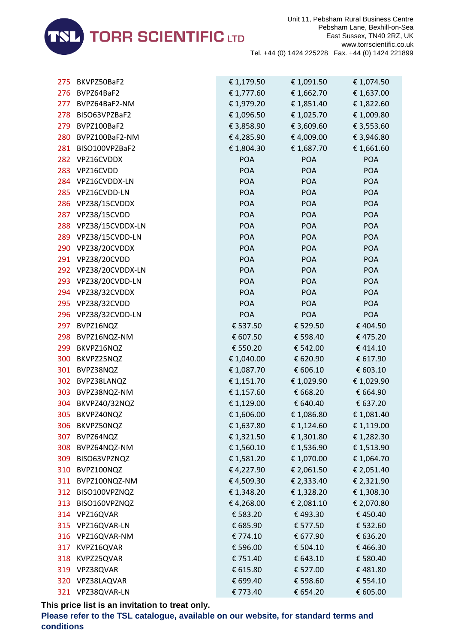

| 275 | BKVPZ50BaF2          | € 1,179.50 | € 1,091.50 | € 1,074.50 |
|-----|----------------------|------------|------------|------------|
| 276 | BVPZ64BaF2           | € 1,777.60 | € 1,662.70 | € 1,637.00 |
| 277 | BVPZ64BaF2-NM        | €1,979.20  | € 1,851.40 | € 1,822.60 |
| 278 | BISO63VPZBaF2        | € 1,096.50 | € 1,025.70 | €1,009.80  |
| 279 | BVPZ100BaF2          | € 3,858.90 | € 3,609.60 | € 3,553.60 |
| 280 | BVPZ100BaF2-NM       | €4,285.90  | €4,009.00  | € 3,946.80 |
| 281 | BISO100VPZBaF2       | € 1,804.30 | € 1,687.70 | € 1,661.60 |
|     | 282 VPZ16CVDDX       | <b>POA</b> | <b>POA</b> | <b>POA</b> |
| 283 | VPZ16CVDD            | <b>POA</b> | <b>POA</b> | <b>POA</b> |
| 284 | VPZ16CVDDX-LN        | <b>POA</b> | <b>POA</b> | <b>POA</b> |
| 285 | VPZ16CVDD-LN         | <b>POA</b> | <b>POA</b> | <b>POA</b> |
|     | 286 VPZ38/15CVDDX    | <b>POA</b> | <b>POA</b> | <b>POA</b> |
|     | 287 VPZ38/15CVDD     | <b>POA</b> | <b>POA</b> | <b>POA</b> |
| 288 | VPZ38/15CVDDX-LN     | <b>POA</b> | <b>POA</b> | <b>POA</b> |
| 289 | VPZ38/15CVDD-LN      | <b>POA</b> | <b>POA</b> | <b>POA</b> |
|     | 290 VPZ38/20CVDDX    | <b>POA</b> | <b>POA</b> | POA        |
|     | 291 VPZ38/20CVDD     | <b>POA</b> | <b>POA</b> | <b>POA</b> |
|     | 292 VPZ38/20CVDDX-LN | <b>POA</b> | <b>POA</b> | <b>POA</b> |
| 293 | VPZ38/20CVDD-LN      | <b>POA</b> | <b>POA</b> | <b>POA</b> |
| 294 | VPZ38/32CVDDX        | <b>POA</b> | <b>POA</b> | <b>POA</b> |
|     | 295 VPZ38/32CVDD     | <b>POA</b> | <b>POA</b> | <b>POA</b> |
|     | 296 VPZ38/32CVDD-LN  | <b>POA</b> | <b>POA</b> | <b>POA</b> |
| 297 | BVPZ16NQZ            | € 537.50   | € 529.50   | €404.50    |
| 298 | BVPZ16NQZ-NM         | € 607.50   | € 598.40   | €475.20    |
| 299 | BKVPZ16NQZ           | € 550.20   | € 542.00   | €414.10    |
| 300 | BKVPZ25NQZ           | € 1,040.00 | € 620.90   | € 617.90   |
| 301 | BVPZ38NQZ            | € 1,087.70 | € 606.10   | € 603.10   |
| 302 | BVPZ38LANQZ          | € 1,151.70 | € 1,029.90 | €1,029.90  |
| 303 | BVPZ38NQZ-NM         | € 1,157.60 | € 668.20   | € 664.90   |
| 304 | BKVPZ40/32NQZ        | € 1,129.00 | € 640.40   | € 637.20   |
| 305 | BKVPZ40NQZ           | € 1,606.00 | € 1,086.80 | € 1,081.40 |
| 306 | BKVPZ50NQZ           | € 1,637.80 | € 1,124.60 | € 1,119.00 |
| 307 | BVPZ64NQZ            | € 1,321.50 | € 1,301.80 | €1,282.30  |
| 308 | BVPZ64NQZ-NM         | € 1,560.10 | € 1,536.90 | € 1,513.90 |
| 309 | BISO63VPZNQZ         | €1,581.20  | € 1,070.00 | € 1,064.70 |
| 310 | BVPZ100NQZ           | €4,227.90  | € 2,061.50 | € 2,051.40 |
| 311 | BVPZ100NQZ-NM        | €4,509.30  | € 2,333.40 | € 2,321.90 |
| 312 | BISO100VPZNQZ        | € 1,348.20 | € 1,328.20 | €1,308.30  |
| 313 | BISO160VPZNQZ        | €4,268.00  | € 2,081.10 | € 2,070.80 |
| 314 | VPZ16QVAR            | € 583.20   | €493.30    | €450.40    |
| 315 | VPZ16QVAR-LN         | € 685.90   | € 577.50   | € 532.60   |
| 316 | VPZ16QVAR-NM         | € 774.10   | € 677.90   | € 636.20   |
| 317 | KVPZ16QVAR           | € 596.00   | € 504.10   | €466.30    |
| 318 | KVPZ25QVAR           | € 751.40   | € 643.10   | € 580.40   |
| 319 | VPZ38QVAR            | € 615.80   | € 527.00   | €481.80    |
| 320 | VPZ38LAQVAR          | € 699.40   | € 598.60   | € 554.10   |
|     | 321 VPZ38QVAR-LN     | € 773.40   | € 654.20   | € 605.00   |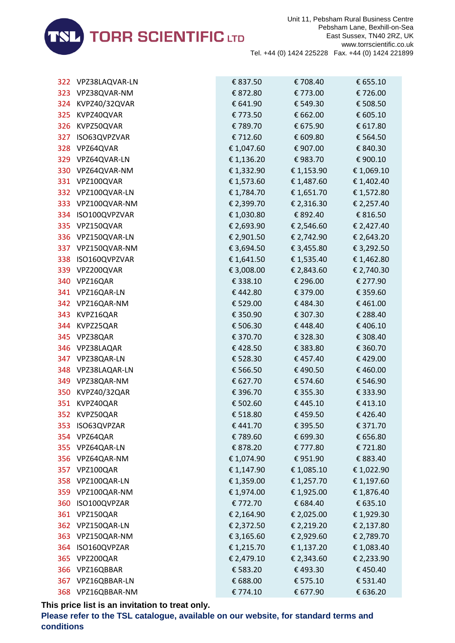

|     | 322 VPZ38LAQVAR-LN | € 837.50   | €708.40    | € 655.10   |
|-----|--------------------|------------|------------|------------|
|     | 323 VPZ38QVAR-NM   | € 872.80   | € 773.00   | € 726.00   |
|     | 324 KVPZ40/32QVAR  | € 641.90   | € 549.30   | € 508.50   |
|     | 325 KVPZ40QVAR     | € 773.50   | € 662.00   | € 605.10   |
| 326 | KVPZ50QVAR         | €789.70    | € 675.90   | € 617.80   |
| 327 | ISO63QVPZVAR       | € 712.60   | € 609.80   | € 564.50   |
|     | 328 VPZ64QVAR      | € 1,047.60 | € 907.00   | € 840.30   |
|     | 329 VPZ64QVAR-LN   | € 1,136.20 | €983.70    | € 900.10   |
|     | 330 VPZ64QVAR-NM   | € 1,332.90 | € 1,153.90 | € 1,069.10 |
|     | 331 VPZ100QVAR     | € 1,573.60 | € 1,487.60 | € 1,402.40 |
|     | 332 VPZ100QVAR-LN  | € 1,784.70 | € 1,651.70 | € 1,572.80 |
|     | 333 VPZ100QVAR-NM  | € 2,399.70 | € 2,316.30 | € 2,257.40 |
|     | 334 ISO100QVPZVAR  | € 1,030.80 | € 892.40   | € 816.50   |
|     | 335 VPZ150QVAR     | € 2,693.90 | € 2,546.60 | € 2,427.40 |
|     | 336 VPZ150QVAR-LN  | € 2,901.50 | € 2,742.90 | € 2,643.20 |
|     | 337 VPZ150QVAR-NM  | € 3,694.50 | € 3,455.80 | € 3,292.50 |
|     | 338 ISO160QVPZVAR  | € 1,641.50 | € 1,535.40 | € 1,462.80 |
|     | 339 VPZ200QVAR     | € 3,008.00 | € 2,843.60 | € 2,740.30 |
| 340 | VPZ16QAR           | € 338.10   | € 296.00   | € 277.90   |
|     | 341 VPZ16QAR-LN    | €442.80    | € 379.00   | € 359.60   |
|     | 342 VPZ16QAR-NM    | € 529.00   | €484.30    | €461.00    |
|     | 343 KVPZ16QAR      | € 350.90   | € 307.30   | € 288.40   |
|     | 344 KVPZ25QAR      | € 506.30   | €448.40    | €406.10    |
|     | 345 VPZ38QAR       | € 370.70   | € 328.30   | € 308.40   |
|     | 346 VPZ38LAQAR     | €428.50    | € 383.80   | € 360.70   |
|     | 347 VPZ38QAR-LN    | € 528.30   | € 457.40   | €429.00    |
|     | 348 VPZ38LAQAR-LN  | € 566.50   | €490.50    | €460.00    |
|     | 349 VPZ38QAR-NM    | € 627.70   | € 574.60   | € 546.90   |
| 350 | KVPZ40/32QAR       | € 396.70   | € 355.30   | € 333.90   |
| 351 | KVPZ40QAR          | € 502.60   | €445.10    | €413.10    |
| 352 | KVPZ50QAR          | € 518.80   | €459.50    | €426.40    |
| 353 | ISO63QVPZAR        | €441.70    | € 395.50   | € 371.70   |
|     | 354 VPZ64QAR       | €789.60    | € 699.30   | € 656.80   |
|     | 355 VPZ64QAR-LN    | € 878.20   | € 777.80   | € 721.80   |
|     | 356 VPZ64QAR-NM    | € 1,074.90 | € 951.90   | € 883.40   |
| 357 | VPZ100QAR          | € 1,147.90 | € 1,085.10 | € 1,022.90 |
|     | 358 VPZ100QAR-LN   | € 1,359.00 | € 1,257.70 | € 1,197.60 |
| 359 | VPZ100QAR-NM       | € 1,974.00 | € 1,925.00 | € 1,876.40 |
| 360 | ISO100QVPZAR       | € 772.70   | € 684.40   | € 635.10   |
| 361 | VPZ150QAR          | € 2,164.90 | € 2,025.00 | €1,929.30  |
|     | 362 VPZ150QAR-LN   | € 2,372.50 | € 2,219.20 | € 2,137.80 |
|     | 363 VPZ150QAR-NM   | € 3,165.60 | € 2,929.60 | € 2,789.70 |
| 364 | ISO160QVPZAR       | € 1,215.70 | € 1,137.20 | € 1,083.40 |
| 365 | VPZ200QAR          | € 2,479.10 | € 2,343.60 | € 2,233.90 |
| 366 | VPZ16QBBAR         | € 583.20   | €493.30    | €450.40    |
|     | 367 VPZ16QBBAR-LN  | € 688.00   | € 575.10   | € 531.40   |
|     | 368 VPZ16QBBAR-NM  | € 774.10   | € 677.90   | € 636.20   |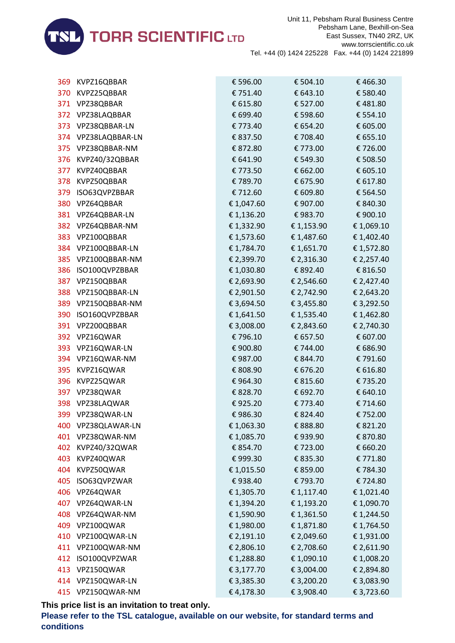

| 369 | KVPZ16QBBAR         | € 596.00   | € 504.10   | €466.30    |
|-----|---------------------|------------|------------|------------|
|     | 370 KVPZ25QBBAR     | € 751.40   | € 643.10   | € 580.40   |
|     | 371 VPZ38QBBAR      | € 615.80   | € 527.00   | €481.80    |
|     | 372 VPZ38LAQBBAR    | € 699.40   | € 598.60   | € 554.10   |
| 373 | VPZ38QBBAR-LN       | € 773.40   | € 654.20   | € 605.00   |
|     | 374 VPZ38LAQBBAR-LN | € 837.50   | € 708.40   | € 655.10   |
|     | 375 VPZ38QBBAR-NM   | € 872.80   | € 773.00   | € 726.00   |
|     | 376 KVPZ40/32QBBAR  | € 641.90   | € 549.30   | € 508.50   |
| 377 | KVPZ40QBBAR         | € 773.50   | € 662.00   | € 605.10   |
| 378 | KVPZ50QBBAR         | €789.70    | € 675.90   | € 617.80   |
|     | 379 ISO63QVPZBBAR   | € 712.60   | € 609.80   | € 564.50   |
|     | 380 VPZ64QBBAR      | € 1,047.60 | € 907.00   | € 840.30   |
|     | 381 VPZ64QBBAR-LN   | € 1,136.20 | € 983.70   | € 900.10   |
|     | 382 VPZ64QBBAR-NM   | € 1,332.90 | € 1,153.90 | € 1,069.10 |
|     | 383 VPZ100QBBAR     | € 1,573.60 | € 1,487.60 | € 1,402.40 |
|     | 384 VPZ100QBBAR-LN  | € 1,784.70 | € 1,651.70 | € 1,572.80 |
|     | 385 VPZ100QBBAR-NM  | € 2,399.70 | € 2,316.30 | € 2,257.40 |
|     | 386 ISO100QVPZBBAR  | € 1,030.80 | € 892.40   | € 816.50   |
| 387 | VPZ150QBBAR         | € 2,693.90 | € 2,546.60 | € 2,427.40 |
|     | 388 VPZ150QBBAR-LN  | € 2,901.50 | € 2,742.90 | € 2,643.20 |
|     | 389 VPZ150QBBAR-NM  | € 3,694.50 | € 3,455.80 | € 3,292.50 |
|     | 390 ISO160QVPZBBAR  | € 1,641.50 | € 1,535.40 | € 1,462.80 |
|     | 391 VPZ200QBBAR     | € 3,008.00 | € 2,843.60 | € 2,740.30 |
|     | 392 VPZ16QWAR       | €796.10    | € 657.50   | € 607.00   |
|     | 393 VPZ16QWAR-LN    | € 900.80   | € 744.00   | € 686.90   |
|     | 394 VPZ16QWAR-NM    | €987.00    | € 844.70   | € 791.60   |
|     | 395 KVPZ16QWAR      | € 808.90   | € 676.20   | € 616.80   |
| 396 | KVPZ25QWAR          | €964.30    | € 815.60   | €735.20    |
|     | 397 VPZ38QWAR       | € 828.70   | € 692.70   | € 640.10   |
|     | 398 VPZ38LAQWAR     | €925.20    | € 773.40   | € 714.60   |
|     | 399 VPZ38QWAR-LN    | €986.30    | € 824.40   | € 752.00   |
| 400 | VPZ38QLAWAR-LN      | € 1,063.30 | € 888.80   | € 821.20   |
| 401 | VPZ38QWAR-NM        | € 1,085.70 | €939.90    | € 870.80   |
| 402 | KVPZ40/32QWAR       | € 854.70   | €723.00    | € 660.20   |
| 403 | KVPZ40QWAR          | €999.30    | € 835.30   | € 771.80   |
| 404 | KVPZ50QWAR          | € 1,015.50 | € 859.00   | €784.30    |
| 405 | ISO63QVPZWAR        | €938.40    | € 793.70   | €724.80    |
| 406 | VPZ64QWAR           | € 1,305.70 | € 1,117.40 | € 1,021.40 |
| 407 | VPZ64QWAR-LN        | € 1,394.20 | € 1,193.20 | € 1,090.70 |
| 408 | VPZ64QWAR-NM        | € 1,590.90 | €1,361.50  | € 1,244.50 |
| 409 | VPZ100QWAR          | € 1,980.00 | € 1,871.80 | € 1,764.50 |
| 410 | VPZ100QWAR-LN       | € 2,191.10 | € 2,049.60 | € 1,931.00 |
| 411 | VPZ100QWAR-NM       | € 2,806.10 | € 2,708.60 | € 2,611.90 |
| 412 | ISO100QVPZWAR       | € 1,288.80 | € 1,090.10 | €1,008.20  |
| 413 | VPZ150QWAR          | € 3,177.70 | € 3,004.00 | € 2,894.80 |
| 414 | VPZ150QWAR-LN       | € 3,385.30 | € 3,200.20 | € 3,083.90 |
| 415 | VPZ150QWAR-NM       | €4,178.30  | € 3,908.40 | € 3,723.60 |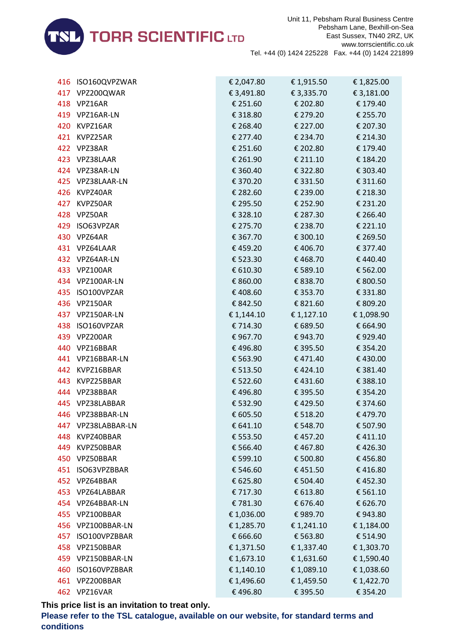

|     | 416 ISO160QVPZWAR | € 2,047.80 | € 1,915.50        | € 1,825.00 |
|-----|-------------------|------------|-------------------|------------|
|     | 417 VPZ200QWAR    | € 3,491.80 | € 3,335.70        | € 3,181.00 |
|     | 418 VPZ16AR       | € 251.60   | € 202.80          | € 179.40   |
|     | 419 VPZ16AR-LN    | € 318.80   | € 279.20          | € 255.70   |
| 420 | KVPZ16AR          | € 268.40   | € 227.00          | € 207.30   |
|     | 421 KVPZ25AR      | € 277.40   | € 234.70          | € 214.30   |
|     | 422 VPZ38AR       | € 251.60   | € 202.80          | € 179.40   |
|     | 423 VPZ38LAAR     | € 261.90   | € 211.10          | € 184.20   |
|     | 424 VPZ38AR-LN    | € 360.40   | € 322.80          | € 303.40   |
|     | 425 VPZ38LAAR-LN  | € 370.20   | € 331.50          | € 311.60   |
|     | 426 KVPZ40AR      | € 282.60   | € 239.00          | € 218.30   |
|     | 427 KVPZ50AR      | € 295.50   | € 252.90          | € 231.20   |
|     | 428 VPZ50AR       | € 328.10   | € 287.30          | € 266.40   |
|     | 429 ISO63VPZAR    | € 275.70   | € 238.70          | € 221.10   |
|     | 430 VPZ64AR       | € 367.70   | € 300.10          | € 269.50   |
|     | 431 VPZ64LAAR     | €459.20    | € 406.70          | € 377.40   |
|     | 432 VPZ64AR-LN    | € 523.30   | €468.70           | €440.40    |
|     | 433 VPZ100AR      | € 610.30   | € 589.10          | € 562.00   |
|     | 434 VPZ100AR-LN   | € 860.00   | € 838.70          | € 800.50   |
|     | 435 ISO100VPZAR   | € 408.60   | € 353.70          | € 331.80   |
|     | 436 VPZ150AR      | € 842.50   | $\epsilon$ 821.60 | € 809.20   |
|     | 437 VPZ150AR-LN   | € 1,144.10 | € $1,127.10$      | € 1,098.90 |
|     | 438 ISO160VPZAR   | € 714.30   | € 689.50          | € 664.90   |
|     | 439 VPZ200AR      | € 967.70   | € 943.70          | €929.40    |
|     | 440 VPZ16BBAR     | €496.80    | € 395.50          | € 354.20   |
|     | 441 VPZ16BBAR-LN  | € 563.90   | € 471.40          | €430.00    |
|     | 442 KVPZ16BBAR    | € 513.50   | €424.10           | € 381.40   |
|     | 443 KVPZ25BBAR    | € 522.60   | €431.60           | € 388.10   |
|     | 444 VPZ38BBAR     | €496.80    | € 395.50          | € 354.20   |
|     | 445 VPZ38LABBAR   | € 532.90   | €429.50           | € 374.60   |
|     | 446 VPZ38BBAR-LN  | € 605.50   | € 518.20          | €479.70    |
| 447 | VPZ38LABBAR-LN    | € 641.10   | € 548.70          | € 507.90   |
| 448 | KVPZ40BBAR        | € 553.50   | €457.20           | €411.10    |
| 449 | KVPZ50BBAR        | € 566.40   | €467.80           | €426.30    |
| 450 | VPZ50BBAR         | € 599.10   | € 500.80          | €456.80    |
| 451 | ISO63VPZBBAR      | € 546.60   | €451.50           | €416.80    |
|     | 452 VPZ64BBAR     | € 625.80   | € 504.40          | €452.30    |
|     | 453 VPZ64LABBAR   | € 717.30   | € 613.80          | € 561.10   |
|     | 454 VPZ64BBAR-LN  | €781.30    | € 676.40          | € 626.70   |
|     | 455 VPZ100BBAR    | € 1,036.00 | €989.70           | €943.80    |
|     | 456 VPZ100BBAR-LN | € 1,285.70 | € 1,241.10        | € 1,184.00 |
| 457 | ISO100VPZBBAR     | € 666.60   | € 563.80          | € 514.90   |
| 458 | VPZ150BBAR        | € 1,371.50 | € 1,337.40        | € 1,303.70 |
| 459 | VPZ150BBAR-LN     | € 1,673.10 | € 1,631.60        | € 1,590.40 |
| 460 | ISO160VPZBBAR     | € 1,140.10 | € 1,089.10        | € 1,038.60 |
|     | 461 VPZ200BBAR    | € 1,496.60 | € 1,459.50        | € 1,422.70 |
|     | 462 VPZ16VAR      | €496.80    | € 395.50          | € 354.20   |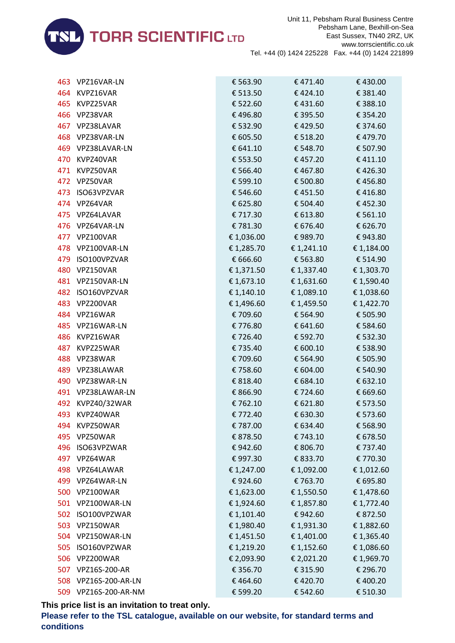

|      | 463 VPZ16VAR-LN      | € 563.90   | €471.40    | €430.00    |
|------|----------------------|------------|------------|------------|
|      | 464 KVPZ16VAR        | € 513.50   | €424.10    | € 381.40   |
|      | 465 KVPZ25VAR        | € 522.60   | €431.60    | € 388.10   |
|      | 466 VPZ38VAR         | €496.80    | € 395.50   | € 354.20   |
|      | 467 VPZ38LAVAR       | € 532.90   | €429.50    | € 374.60   |
|      | 468 VPZ38VAR-LN      | € 605.50   | € 518.20   | €479.70    |
|      | 469 VPZ38LAVAR-LN    | € 641.10   | € 548.70   | € 507.90   |
|      | 470 KVPZ40VAR        | € 553.50   | €457.20    | €411.10    |
|      | 471 KVPZ50VAR        | € 566.40   | €467.80    | €426.30    |
|      | 472 VPZ50VAR         | € 599.10   | € 500.80   | €456.80    |
|      | 473 ISO63VPZVAR      | € 546.60   | €451.50    | €416.80    |
|      | 474 VPZ64VAR         | € 625.80   | € 504.40   | €452.30    |
|      | 475 VPZ64LAVAR       | € 717.30   | € 613.80   | € 561.10   |
|      | 476 VPZ64VAR-LN      | €781.30    | € 676.40   | € 626.70   |
|      | 477 VPZ100VAR        | € 1,036.00 | €989.70    | €943.80    |
|      | 478 VPZ100VAR-LN     | € 1,285.70 | € 1,241.10 | € 1,184.00 |
|      | 479 ISO100VPZVAR     | € 666.60   | € 563.80   | € 514.90   |
|      | 480 VPZ150VAR        | € 1,371.50 | € 1,337.40 | € 1,303.70 |
|      | 481 VPZ150VAR-LN     | € 1,673.10 | € 1,631.60 | € 1,590.40 |
|      | 482 ISO160VPZVAR     | € 1,140.10 | € 1,089.10 | € 1,038.60 |
|      | 483 VPZ200VAR        | € 1,496.60 | € 1,459.50 | € 1,422.70 |
|      | 484 VPZ16WAR         | € 709.60   | € 564.90   | € 505.90   |
|      | 485 VPZ16WAR-LN      | €776.80    | € 641.60   | € 584.60   |
|      | 486 KVPZ16WAR        | €726.40    | € 592.70   | € 532.30   |
|      | 487 KVPZ25WAR        | € 735.40   | € 600.10   | € 538.90   |
|      | 488 VPZ38WAR         | € 709.60   | € 564.90   | € 505.90   |
|      | 489 VPZ38LAWAR       | €758.60    | € 604.00   | € 540.90   |
|      | 490 VPZ38WAR-LN      | € 818.40   | € 684.10   | € 632.10   |
|      | 491 VPZ38LAWAR-LN    | € 866.90   | € 724.60   | € 669.60   |
|      | 492 KVPZ40/32WAR     | €762.10    | € 621.80   | € 573.50   |
|      | 493 KVPZ40WAR        | € 772.40   | € 630.30   | € 573.60   |
| 494. | KVPZ50WAR            | €787.00    | € 634.40   | € 568.90   |
| 495  | VPZ50WAR             | € 878.50   | € 743.10   | € 678.50   |
| 496  | ISO63VPZWAR          | €942.60    | € 806.70   | € 737.40   |
|      | 497 VPZ64WAR         | €997.30    | € 833.70   | € 770.30   |
| 498  | VPZ64LAWAR           | € 1,247.00 | € 1,092.00 | € 1,012.60 |
|      | 499 VPZ64WAR-LN      | €924.60    | € 763.70   | € 695.80   |
|      | 500 VPZ100WAR        | € 1,623.00 | € 1,550.50 | € 1,478.60 |
|      | 501 VPZ100WAR-LN     | € 1,924.60 | € 1,857.80 | € 1,772.40 |
|      | 502 ISO100VPZWAR     | € 1,101.40 | €942.60    | € 872.50   |
|      | 503 VPZ150WAR        | € 1,980.40 | € 1,931.30 | € 1,882.60 |
|      | 504 VPZ150WAR-LN     | € 1,451.50 | € 1,401.00 | € 1,365.40 |
| 505  | ISO160VPZWAR         | € 1,219.20 | € 1,152.60 | € 1,086.60 |
| 506  | VPZ200WAR            | € 2,093.90 | € 2,021.20 | € 1,969.70 |
| 507  | VPZ16S-200-AR        | € 356.70   | € 315.90   | € 296.70   |
|      | 508 VPZ16S-200-AR-LN | €464.60    | €420.70    | € 400.20   |
|      | 509 VPZ16S-200-AR-NM | € 599.20   | € 542.60   | € 510.30   |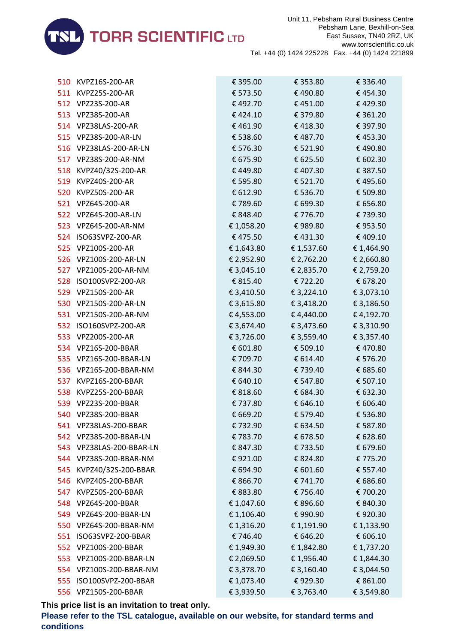

|     | 510 KVPZ16S-200-AR       | € 395.00   | € 353.80   | € 336.40   |
|-----|--------------------------|------------|------------|------------|
|     | 511 KVPZ25S-200-AR       | € 573.50   | €490.80    | €454.30    |
|     | 512 VPZ23S-200-AR        | €492.70    | € 451.00   | €429.30    |
|     | 513 VPZ38S-200-AR        | €424.10    | € 379.80   | € 361.20   |
|     | 514 VPZ38LAS-200-AR      | €461.90    | €418.30    | € 397.90   |
|     | 515 VPZ38S-200-AR-LN     | € 538.60   | €487.70    | €453.30    |
|     | 516 VPZ38LAS-200-AR-LN   | € 576.30   | € 521.90   | €490.80    |
|     | 517 VPZ38S-200-AR-NM     | € 675.90   | € 625.50   | € 602.30   |
|     | 518 KVPZ40/32S-200-AR    | €449.80    | €407.30    | € 387.50   |
|     | 519 KVPZ40S-200-AR       | € 595.80   | € 521.70   | €495.60    |
|     | 520 KVPZ50S-200-AR       | € 612.90   | € 536.70   | € 509.80   |
|     | 521 VPZ64S-200-AR        | € 789.60   | € 699.30   | € 656.80   |
|     | 522 VPZ64S-200-AR-LN     | € 848.40   | € 776.70   | € 739.30   |
|     | 523 VPZ64S-200-AR-NM     | € 1,058.20 | €989.80    | €953.50    |
|     | 524 ISO63SVPZ-200-AR     | € 475.50   | €431.30    | €409.10    |
|     | 525 VPZ100S-200-AR       | € 1,643.80 | € 1,537.60 | € 1,464.90 |
|     | 526 VPZ100S-200-AR-LN    | € 2,952.90 | € 2,762.20 | € 2,660.80 |
|     | 527 VPZ100S-200-AR-NM    | € 3,045.10 | € 2,835.70 | € 2,759.20 |
| 528 | ISO100SVPZ-200-AR        | € 815.40   | € 722.20   | € 678.20   |
|     | 529 VPZ150S-200-AR       | € 3,410.50 | € 3,224.10 | € 3,073.10 |
|     | 530 VPZ150S-200-AR-LN    | € 3,615.80 | € 3,418.20 | € 3,186.50 |
|     | 531 VPZ150S-200-AR-NM    | € 4,553.00 | €4,440.00  | €4,192.70  |
|     | 532 ISO160SVPZ-200-AR    | € 3,674.40 | € 3,473.60 | € 3,310.90 |
|     | 533 VPZ200S-200-AR       | € 3,726.00 | € 3,559.40 | € 3,357.40 |
|     | 534 VPZ16S-200-BBAR      | € 601.80   | € 509.10   | €470.80    |
|     | 535 VPZ16S-200-BBAR-LN   | € 709.70   | € 614.40   | € 576.20   |
|     | 536 VPZ16S-200-BBAR-NM   | € 844.30   | € 739.40   | € 685.60   |
|     | 537 KVPZ16S-200-BBAR     | € 640.10   | € 547.80   | € 507.10   |
| 538 | KVPZ25S-200-BBAR         | € 818.60   | € 684.30   | € 632.30   |
|     | 539 VPZ23S-200-BBAR      | € 737.80   | € 646.10   | € 606.40   |
|     | 540 VPZ38S-200-BBAR      | € 669.20   | € 579.40   | € 536.80   |
|     | 541 VPZ38LAS-200-BBAR    | €732.90    | € 634.50   | € 587.80   |
|     | 542 VPZ38S-200-BBAR-LN   | €783.70    | € 678.50   | € 628.60   |
|     | 543 VPZ38LAS-200-BBAR-LN | € 847.30   | €733.50    | € 679.60   |
|     | 544 VPZ38S-200-BBAR-NM   | €921.00    | € 824.80   | € 775.20   |
| 545 | KVPZ40/32S-200-BBAR      | € 694.90   | € 601.60   | € 557.40   |
| 546 | KVPZ40S-200-BBAR         | € 866.70   | € 741.70   | € 686.60   |
| 547 | KVPZ50S-200-BBAR         | € 883.80   | € 756.40   | € 700.20   |
| 548 | VPZ64S-200-BBAR          | € 1,047.60 | € 896.60   | € 840.30   |
| 549 | VPZ64S-200-BBAR-LN       | € 1,106.40 | € 990.90   | €920.30    |
| 550 | VPZ64S-200-BBAR-NM       | € 1,316.20 | € 1,191.90 | € 1,133.90 |
| 551 | ISO63SVPZ-200-BBAR       | € 746.40   | € 646.20   | € 606.10   |
| 552 | VPZ100S-200-BBAR         | € 1,949.30 | € 1,842.80 | € 1,737.20 |
|     | 553 VPZ100S-200-BBAR-LN  | € 2,069.50 | € 1,956.40 | € 1,844.30 |
| 554 | VPZ100S-200-BBAR-NM      | € 3,378.70 | € 3,160.40 | € 3,044.50 |
| 555 | ISO100SVPZ-200-BBAR      | € 1,073.40 | €929.30    | € 861.00   |
|     | 556 VPZ150S-200-BBAR     | € 3,939.50 | € 3,763.40 | € 3,549.80 |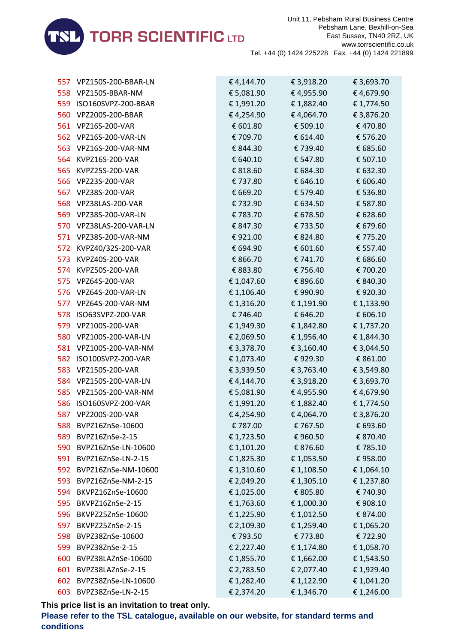

| 557 VPZ150S-200-BBAR-LN | € 4,144.70 | € 3,918.20 | € 3,693.70 |
|-------------------------|------------|------------|------------|
| 558 VPZ150S-BBAR-NM     | € 5,081.90 | € 4,955.90 | €4,679.90  |
| 559 ISO160SVPZ-200-BBAR | € 1,991.20 | € 1,882.40 | € 1,774.50 |
| 560 VPZ200S-200-BBAR    | € 4,254.90 | € 4,064.70 | € 3,876.20 |
| 561 VPZ16S-200-VAR      | € 601.80   | € 509.10   | €470.80    |
| 562 VPZ16S-200-VAR-LN   | € 709.70   | € 614.40   | € 576.20   |
| 563 VPZ16S-200-VAR-NM   | € 844.30   | € 739.40   | € 685.60   |
| 564 KVPZ16S-200-VAR     | € 640.10   | € 547.80   | € 507.10   |
| 565 KVPZ25S-200-VAR     | € 818.60   | € 684.30   | € 632.30   |
| 566 VPZ23S-200-VAR      | € 737.80   | € 646.10   | € 606.40   |
| 567 VPZ38S-200-VAR      | € 669.20   | € 579.40   | € 536.80   |
| 568 VPZ38LAS-200-VAR    | € 732.90   | € 634.50   | € 587.80   |
| 569 VPZ38S-200-VAR-LN   | € 783.70   | € 678.50   | € 628.60   |
| 570 VPZ38LAS-200-VAR-LN | € 847.30   | € 733.50   | € 679.60   |
| 571 VPZ38S-200-VAR-NM   | €921.00    | € 824.80   | € 775.20   |
| 572 KVPZ40/32S-200-VAR  | € 694.90   | € 601.60   | € 557.40   |
| 573 KVPZ40S-200-VAR     | € 866.70   | € 741.70   | € 686.60   |
| 574 KVPZ50S-200-VAR     | € 883.80   | € 756.40   | € 700.20   |
| 575 VPZ64S-200-VAR      | € 1,047.60 | € 896.60   | € 840.30   |
| 576 VPZ64S-200-VAR-LN   | € 1,106.40 | € 990.90   | € 920.30   |
| 577 VPZ64S-200-VAR-NM   | € 1,316.20 | € 1,191.90 | € 1,133.90 |
| 578 ISO63SVPZ-200-VAR   | € 746.40   | € 646.20   | € 606.10   |
| 579 VPZ100S-200-VAR     | € 1,949.30 | € 1,842.80 | € 1,737.20 |
| 580 VPZ100S-200-VAR-LN  | € 2,069.50 | € 1,956.40 | € 1,844.30 |
| 581 VPZ100S-200-VAR-NM  | € 3,378.70 | € 3,160.40 | € 3,044.50 |
| 582 ISO100SVPZ-200-VAR  | € 1,073.40 | € 929.30   | € 861.00   |
| 583 VPZ150S-200-VAR     | € 3,939.50 | € 3,763.40 | € 3,549.80 |
| 584 VPZ150S-200-VAR-LN  | € 4,144.70 | € 3,918.20 | € 3,693.70 |
| 585 VPZ150S-200-VAR-NM  | € 5,081.90 | € 4,955.90 | €4,679.90  |
| 586 ISO160SVPZ-200-VAR  | € 1,991.20 | € 1,882.40 | € 1,774.50 |
| 587 VPZ200S-200-VAR     | € 4,254.90 | € 4,064.70 | € 3,876.20 |
| 588 BVPZ16ZnSe-10600    | € 787.00   | € 767.50   | € 693.60   |
| 589 BVPZ16ZnSe-2-15     | € 1,723.50 | € 960.50   | € 870.40   |
| 590 BVPZ16ZnSe-LN-10600 | € 1,101.20 | € 876.60   | € 785.10   |
| 591 BVPZ16ZnSe-LN-2-15  | € 1,825.30 | € 1,053.50 | € 958.00   |
| 592 BVPZ16ZnSe-NM-10600 | € 1,310.60 | € 1,108.50 | € 1,064.10 |
| 593 BVPZ16ZnSe-NM-2-15  | € 2,049.20 | € 1,305.10 | € 1,237.80 |
| 594 BKVPZ16ZnSe-10600   | € 1,025.00 | € 805.80   | € 740.90   |
| 595 BKVPZ16ZnSe-2-15    | € 1,763.60 | € 1,000.30 | € 908.10   |
| 596 BKVPZ25ZnSe-10600   | € 1,225.90 | € 1,012.50 | € 874.00   |
| 597 BKVPZ25ZnSe-2-15    | € 2,109.30 | € 1,259.40 | €1,065.20  |
| 598 BVPZ38ZnSe-10600    | € 793.50   | € 773.80   | € 722.90   |
| 599 BVPZ38ZnSe-2-15     | € 2,227.40 | € 1,174.80 | € 1,058.70 |
| 600 BVPZ38LAZnSe-10600  | € 1,855.70 | € 1,662.00 | € 1,543.50 |
| 601 BVPZ38LAZnSe-2-15   | € 2,783.50 | € 2,077.40 | € 1,929.40 |
| 602 BVPZ38ZnSe-LN-10600 | € 1,282.40 | € 1,122.90 | € 1,041.20 |
| 603 BVPZ38ZnSe-LN-2-15  | € 2,374.20 | € 1,346.70 | € 1,246.00 |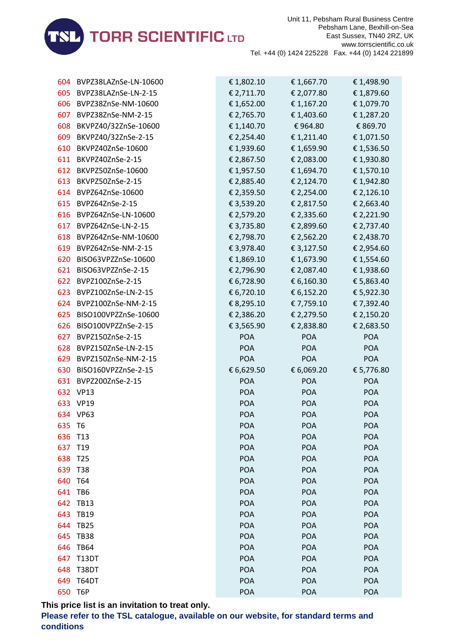

| 604 | BVPZ38LAZnSe-LN-10600 | € 1,802.10 | € 1,667.70 | € 1,498.90 |
|-----|-----------------------|------------|------------|------------|
| 605 | BVPZ38LAZnSe-LN-2-15  | € 2,711.70 | € 2,077.80 | € 1,879.60 |
| 606 | BVPZ38ZnSe-NM-10600   | € 1,652.00 | € 1,167.20 | € 1,079.70 |
| 607 | BVPZ38ZnSe-NM-2-15    | € 2,765.70 | € 1,403.60 | € 1,287.20 |
| 608 | BKVPZ40/32ZnSe-10600  | € 1,140.70 | €964.80    | € 869.70   |
| 609 | BKVPZ40/32ZnSe-2-15   | € 2,254.40 | € 1,211.40 | € 1,071.50 |
| 610 | BKVPZ40ZnSe-10600     | € 1,939.60 | € 1,659.90 | € 1,536.50 |
| 611 | BKVPZ40ZnSe-2-15      | € 2,867.50 | € 2,083.00 | €1,930.80  |
| 612 | BKVPZ50ZnSe-10600     | € 1,957.50 | € 1,694.70 | € 1,570.10 |
| 613 | BKVPZ50ZnSe-2-15      | € 2,885.40 | € 2,124.70 | € 1,942.80 |
| 614 | BVPZ64ZnSe-10600      | € 2,359.50 | € 2,254.00 | € 2,126.10 |
|     | 615 BVPZ64ZnSe-2-15   | € 3,539.20 | € 2,817.50 | € 2,663.40 |
| 616 | BVPZ64ZnSe-LN-10600   | € 2,579.20 | € 2,335.60 | € 2,221.90 |
| 617 | BVPZ64ZnSe-LN-2-15    | € 3,735.80 | € 2,899.60 | € 2,737.40 |
| 618 | BVPZ64ZnSe-NM-10600   | € 2,798.70 | € 2,562.20 | € 2,438.70 |
| 619 | BVPZ64ZnSe-NM-2-15    | € 3,978.40 | € 3,127.50 | € 2,954.60 |
| 620 | BISO63VPZZnSe-10600   | € 1,869.10 | € 1,673.90 | € 1,554.60 |
| 621 | BISO63VPZZnSe-2-15    | € 2,796.90 | € 2,087.40 | €1,938.60  |
| 622 | BVPZ100ZnSe-2-15      | € 6,728.90 | € 6,160.30 | € 5,863.40 |
| 623 | BVPZ100ZnSe-LN-2-15   | € 6,720.10 | € 6,152.20 | € 5,922.30 |
| 624 | BVPZ100ZnSe-NM-2-15   | € 8,295.10 | € 7,759.10 | € 7,392.40 |
| 625 | BISO100VPZZnSe-10600  | € 2,386.20 | € 2,279.50 | € 2,150.20 |
| 626 | BISO100VPZZnSe-2-15   | € 3,565.90 | € 2,838.80 | € 2,683.50 |
| 627 | BVPZ150ZnSe-2-15      | <b>POA</b> | <b>POA</b> | POA        |
| 628 | BVPZ150ZnSe-LN-2-15   | <b>POA</b> | <b>POA</b> | <b>POA</b> |
| 629 | BVPZ150ZnSe-NM-2-15   | <b>POA</b> | <b>POA</b> | <b>POA</b> |
| 630 | BISO160VPZZnSe-2-15   | € 6,629.50 | € 6,069.20 | € 5,776.80 |
| 631 | BVPZ200ZnSe-2-15      | <b>POA</b> | <b>POA</b> | <b>POA</b> |
|     | 632 VP13              | <b>POA</b> | <b>POA</b> | <b>POA</b> |
|     | 633 VP19              | POA        | <b>POA</b> | <b>POA</b> |
|     | 634 VP63              | <b>POA</b> | <b>POA</b> | <b>POA</b> |
| 635 | T6                    | <b>POA</b> | <b>POA</b> | <b>POA</b> |
| 636 | T <sub>13</sub>       | POA        | POA        | <b>POA</b> |
| 637 | T <sub>19</sub>       | POA        | POA        | <b>POA</b> |
| 638 | T <sub>25</sub>       | POA        | POA        | <b>POA</b> |
| 639 | T38                   | POA        | <b>POA</b> | <b>POA</b> |
| 640 | T64                   | POA        | POA        | <b>POA</b> |
| 641 | TB <sub>6</sub>       | POA        | <b>POA</b> | <b>POA</b> |
| 642 | <b>TB13</b>           | <b>POA</b> | <b>POA</b> | <b>POA</b> |
| 643 | <b>TB19</b>           | POA        | POA        | <b>POA</b> |
| 644 | <b>TB25</b>           | <b>POA</b> | POA        | <b>POA</b> |
| 645 | <b>TB38</b>           | <b>POA</b> | POA        | <b>POA</b> |
| 646 | <b>TB64</b>           | POA        | <b>POA</b> | <b>POA</b> |
| 647 | <b>T13DT</b>          | POA        | POA        | <b>POA</b> |
| 648 | T38DT                 | POA        | POA        | <b>POA</b> |
| 649 | T64DT                 | POA        | <b>POA</b> | <b>POA</b> |
| 650 | T6P                   | POA        | <b>POA</b> | POA        |
|     |                       |            |            |            |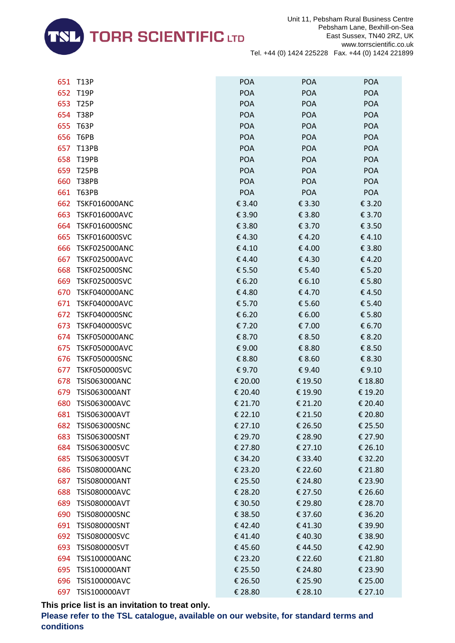

| 651 | <b>T13P</b>          | <b>POA</b> | <b>POA</b> | <b>POA</b> |
|-----|----------------------|------------|------------|------------|
| 652 | <b>T19P</b>          | POA        | POA        | <b>POA</b> |
| 653 | <b>T25P</b>          | <b>POA</b> | <b>POA</b> | POA        |
| 654 | <b>T38P</b>          | <b>POA</b> | POA        | <b>POA</b> |
| 655 | <b>T63P</b>          | <b>POA</b> | <b>POA</b> | POA        |
| 656 | T6PB                 | <b>POA</b> | <b>POA</b> | <b>POA</b> |
| 657 | <b>T13PB</b>         | <b>POA</b> | POA        | <b>POA</b> |
| 658 | <b>T19PB</b>         | <b>POA</b> | POA        | <b>POA</b> |
| 659 | <b>T25PB</b>         | <b>POA</b> | <b>POA</b> | POA        |
| 660 | <b>T38PB</b>         | <b>POA</b> | <b>POA</b> | <b>POA</b> |
| 661 | <b>T63PB</b>         | <b>POA</b> | <b>POA</b> | POA        |
| 662 | <b>TSKF016000ANC</b> | € 3.40     | € 3.30     | € 3.20     |
| 663 | <b>TSKF016000AVC</b> | € 3.90     | € 3.80     | € 3.70     |
| 664 | <b>TSKF016000SNC</b> | € 3.80     | € 3.70     | € 3.50     |
| 665 | <b>TSKF016000SVC</b> | €4.30      | €4.20      | €4.10      |
| 666 | <b>TSKF025000ANC</b> | €4.10      | €4.00      | € 3.80     |
| 667 | <b>TSKF025000AVC</b> | €4.40      | €4.30      | €4.20      |
| 668 | <b>TSKF025000SNC</b> | € 5.50     | € 5.40     | € 5.20     |
| 669 | <b>TSKF025000SVC</b> | € 6.20     | € 6.10     | € 5.80     |
| 670 | <b>TSKF040000ANC</b> | €4.80      | €4.70      | €4.50      |
| 671 | <b>TSKF040000AVC</b> | € 5.70     | € 5.60     | € 5.40     |
| 672 | <b>TSKF040000SNC</b> | € 6.20     | € 6.00     | € 5.80     |
| 673 | <b>TSKF040000SVC</b> | € 7.20     | € 7.00     | € 6.70     |
| 674 | <b>TSKF050000ANC</b> | € 8.70     | € 8.50     | € 8.20     |
| 675 | <b>TSKF050000AVC</b> | €9.00      | € 8.80     | € 8.50     |
| 676 | <b>TSKF050000SNC</b> | € 8.80     | € 8.60     | € 8.30     |
| 677 | <b>TSKF050000SVC</b> | €9.70      | €9.40      | € 9.10     |
| 678 | <b>TSIS063000ANC</b> | € 20.00    | € 19.50    | € 18.80    |
| 679 | <b>TSIS063000ANT</b> | € 20.40    | € 19.90    | € 19.20    |
| 680 | <b>TSIS063000AVC</b> | € 21.70    | € 21.20    | € 20.40    |
| 681 | <b>TSIS063000AVT</b> | € 22.10    | € 21.50    | € 20.80    |
| 682 | <b>TSIS063000SNC</b> | € 27.10    | € 26.50    | € 25.50    |
| 683 | TSIS063000SNT        | € 29.70    | € 28.90    | € 27.90    |
| 684 | TSIS063000SVC        | € 27.80    | € 27.10    | € 26.10    |
| 685 | TSIS063000SVT        | € 34.20    | € 33.40    | € 32.20    |
| 686 | <b>TSIS080000ANC</b> | € 23.20    | € 22.60    | € 21.80    |
| 687 | <b>TSIS080000ANT</b> | € 25.50    | € 24.80    | € 23.90    |
| 688 | <b>TSIS080000AVC</b> | € 28.20    | € 27.50    | € 26.60    |
| 689 | <b>TSIS080000AVT</b> | € 30.50    | € 29.80    | € 28.70    |
| 690 | <b>TSIS080000SNC</b> | € 38.50    | € 37.60    | € 36.20    |
| 691 | <b>TSIS080000SNT</b> | €42.40     | €41.30     | € 39.90    |
| 692 | <b>TSIS080000SVC</b> | €41.40     | €40.30     | € 38.90    |
| 693 | <b>TSIS080000SVT</b> | €45.60     | €44.50     | €42.90     |
| 694 | <b>TSIS100000ANC</b> | € 23.20    | € 22.60    | € 21.80    |
| 695 | TSIS100000ANT        | € 25.50    | € 24.80    | € 23.90    |
| 696 | <b>TSIS100000AVC</b> | € 26.50    | € 25.90    | € 25.00    |
| 697 | TSIS100000AVT        | € 28.80    | € 28.10    | € 27.10    |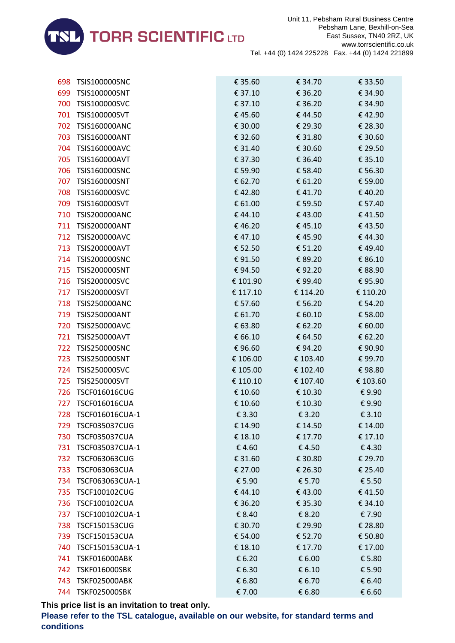

| 698 | TSIS100000SNC        | € 35.60  | € 34.70  | € 33.50  |
|-----|----------------------|----------|----------|----------|
| 699 | <b>TSIS100000SNT</b> | € 37.10  | € 36.20  | € 34.90  |
| 700 | TSIS100000SVC        | € 37.10  | € 36.20  | € 34.90  |
| 701 | TSIS100000SVT        | €45.60   | €44.50   | €42.90   |
| 702 | <b>TSIS160000ANC</b> | € 30.00  | € 29.30  | € 28.30  |
| 703 | <b>TSIS160000ANT</b> | € 32.60  | € 31.80  | € 30.60  |
| 704 | <b>TSIS160000AVC</b> | € 31.40  | € 30.60  | € 29.50  |
| 705 | <b>TSIS160000AVT</b> | € 37.30  | € 36.40  | € 35.10  |
| 706 | <b>TSIS160000SNC</b> | € 59.90  | € 58.40  | € 56.30  |
| 707 | TSIS160000SNT        | € 62.70  | € 61.20  | € 59.00  |
| 708 | TSIS160000SVC        | €42.80   | €41.70   | €40.20   |
| 709 | TSIS160000SVT        | € 61.00  | € 59.50  | € 57.40  |
| 710 | <b>TSIS200000ANC</b> | €44.10   | €43.00   | €41.50   |
| 711 | <b>TSIS200000ANT</b> | €46.20   | €45.10   | €43.50   |
| 712 | <b>TSIS200000AVC</b> | €47.10   | €45.90   | €44.30   |
| 713 | <b>TSIS200000AVT</b> | € 52.50  | € 51.20  | €49.40   |
| 714 | <b>TSIS200000SNC</b> | €91.50   | € 89.20  | € 86.10  |
| 715 | <b>TSIS200000SNT</b> | €94.50   | €92.20   | € 88.90  |
| 716 | <b>TSIS200000SVC</b> | € 101.90 | €99.40   | €95.90   |
| 717 | TSIS200000SVT        | € 117.10 | € 114.20 | € 110.20 |
| 718 | <b>TSIS250000ANC</b> | € 57.60  | € 56.20  | € 54.20  |
| 719 | <b>TSIS250000ANT</b> | € 61.70  | € 60.10  | € 58.00  |
| 720 | <b>TSIS250000AVC</b> | € 63.80  | € 62.20  | € 60.00  |
| 721 | <b>TSIS250000AVT</b> | € 66.10  | € 64.50  | € 62.20  |
| 722 | <b>TSIS250000SNC</b> | €96.60   | €94.20   | € 90.90  |
| 723 | TSIS250000SNT        | € 106.00 | € 103.40 | €99.70   |
| 724 | <b>TSIS250000SVC</b> | € 105.00 | € 102.40 | €98.80   |
| 725 | TSIS250000SVT        | € 110.10 | € 107.40 | € 103.60 |
| 726 | <b>TSCF016016CUG</b> | € 10.60  | € 10.30  | €9.90    |
| 727 | <b>TSCF016016CUA</b> | € 10.60  | € 10.30  | €9.90    |
| 728 | TSCF016016CUA-1      | € 3.30   | € 3.20   | € 3.10   |
| 729 | <b>TSCF035037CUG</b> | € 14.90  | € 14.50  | € 14.00  |
| 730 | <b>TSCF035037CUA</b> | € 18.10  | € 17.70  | € 17.10  |
| 731 | TSCF035037CUA-1      | €4.60    | €4.50    | €4.30    |
| 732 | <b>TSCF063063CUG</b> | € 31.60  | € 30.80  | € 29.70  |
| 733 | <b>TSCF063063CUA</b> | € 27.00  | € 26.30  | € 25.40  |
| 734 | TSCF063063CUA-1      | € 5.90   | € 5.70   | € 5.50   |
| 735 | TSCF100102CUG        | €44.10   | €43.00   | €41.50   |
| 736 | TSCF100102CUA        | € 36.20  | € 35.30  | € 34.10  |
| 737 | TSCF100102CUA-1      | € 8.40   | € 8.20   | € 7.90   |
| 738 | <b>TSCF150153CUG</b> | € 30.70  | € 29.90  | € 28.80  |
| 739 | <b>TSCF150153CUA</b> | € 54.00  | € 52.70  | € 50.80  |
| 740 | TSCF150153CUA-1      | € 18.10  | € 17.70  | € 17.00  |
| 741 | <b>TSKF016000ABK</b> | € 6.20   | € 6.00   | € 5.80   |
| 742 | <b>TSKF016000SBK</b> | € 6.30   | € 6.10   | € 5.90   |
| 743 | <b>TSKF025000ABK</b> | € 6.80   | € 6.70   | € 6.40   |
|     | 744 TSKF025000SBK    | € 7.00   | € 6.80   | € 6.60   |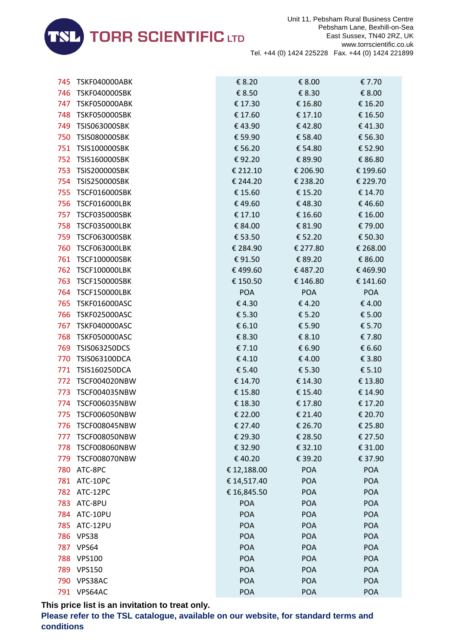

| 745 | <b>TSKF040000ABK</b> | € 8.20      | € 8.00     | € 7.70     |
|-----|----------------------|-------------|------------|------------|
| 746 | <b>TSKF040000SBK</b> | € 8.50      | € 8.30     | € 8.00     |
| 747 | <b>TSKF050000ABK</b> | € 17.30     | € 16.80    | € 16.20    |
| 748 | <b>TSKF050000SBK</b> | € 17.60     | € 17.10    | € 16.50    |
| 749 | <b>TSIS063000SBK</b> | €43.90      | €42.80     | €41.30     |
| 750 | <b>TSIS080000SBK</b> | € 59.90     | € 58.40    | € 56.30    |
| 751 | <b>TSIS100000SBK</b> | € 56.20     | € 54.80    | € 52.90    |
| 752 | <b>TSIS160000SBK</b> | €92.20      | € 89.90    | € 86.80    |
| 753 | <b>TSIS200000SBK</b> | € 212.10    | € 206.90   | € 199.60   |
| 754 | <b>TSIS250000SBK</b> | € 244.20    | € 238.20   | € 229.70   |
| 755 | <b>TSCF016000SBK</b> | € 15.60     | € 15.20    | € 14.70    |
| 756 | <b>TSCF016000LBK</b> | €49.60      | €48.30     | €46.60     |
| 757 | <b>TSCF035000SBK</b> | € 17.10     | € 16.60    | € 16.00    |
| 758 | <b>TSCF035000LBK</b> | € 84.00     | € 81.90    | €79.00     |
| 759 | <b>TSCF063000SBK</b> | € 53.50     | € 52.20    | € 50.30    |
| 760 | <b>TSCF063000LBK</b> | € 284.90    | € 277.80   | € 268.00   |
| 761 | <b>TSCF100000SBK</b> | €91.50      | € 89.20    | € 86.00    |
| 762 | <b>TSCF100000LBK</b> | €499.60     | €487.20    | €469.90    |
| 763 | <b>TSCF150000SBK</b> | € 150.50    | € 146.80   | € 141.60   |
| 764 | <b>TSCF150000LBK</b> | <b>POA</b>  | <b>POA</b> | <b>POA</b> |
| 765 | <b>TSKF016000ASC</b> | €4.30       | €4.20      | €4.00      |
| 766 | <b>TSKF025000ASC</b> | € 5.30      | € 5.20     | € 5.00     |
| 767 | <b>TSKF040000ASC</b> | € 6.10      | € 5.90     | € 5.70     |
| 768 | <b>TSKF050000ASC</b> | € 8.30      | € 8.10     | €7.80      |
| 769 | <b>TSIS063250DCS</b> | € 7.10      | € 6.90     | € 6.60     |
| 770 | <b>TSIS063100DCA</b> | €4.10       | €4.00      | € 3.80     |
| 771 | <b>TSIS160250DCA</b> | € 5.40      | € 5.30     | € 5.10     |
| 772 | <b>TSCF004020NBW</b> | € 14.70     | € 14.30    | € 13.80    |
| 773 | <b>TSCF004035NBW</b> | € 15.80     | € 15.40    | € 14.90    |
| 774 | <b>TSCF006035NBW</b> | € 18.30     | € 17.80    | € 17.20    |
| 775 | <b>TSCF006050NBW</b> | € 22.00     | € 21.40    | € 20.70    |
| 776 | <b>TSCF008045NBW</b> | € 27.40     | € 26.70    | € 25.80    |
| 777 | <b>TSCF008050NBW</b> | € 29.30     | € 28.50    | € 27.50    |
| 778 | <b>TSCF008060NBW</b> | € 32.90     | € 32.10    | € 31.00    |
| 779 | <b>TSCF008070NBW</b> | €40.20      | € 39.20    | € 37.90    |
| 780 | ATC-8PC              | € 12,188.00 | <b>POA</b> | <b>POA</b> |
| 781 | ATC-10PC             | € 14,517.40 | <b>POA</b> | <b>POA</b> |
| 782 | ATC-12PC             | € 16,845.50 | <b>POA</b> | <b>POA</b> |
| 783 | ATC-8PU              | <b>POA</b>  | <b>POA</b> | <b>POA</b> |
| 784 | ATC-10PU             | <b>POA</b>  | POA        | <b>POA</b> |
| 785 | ATC-12PU             | <b>POA</b>  | <b>POA</b> | POA        |
| 786 | VPS38                | <b>POA</b>  | <b>POA</b> | <b>POA</b> |
| 787 | VPS64                | <b>POA</b>  | <b>POA</b> | <b>POA</b> |
| 788 | <b>VPS100</b>        | <b>POA</b>  | POA        | <b>POA</b> |
| 789 | <b>VPS150</b>        | POA         | POA        | <b>POA</b> |
| 790 | VPS38AC              | <b>POA</b>  | <b>POA</b> | <b>POA</b> |
| 791 | VPS64AC              | POA         | POA        | POA        |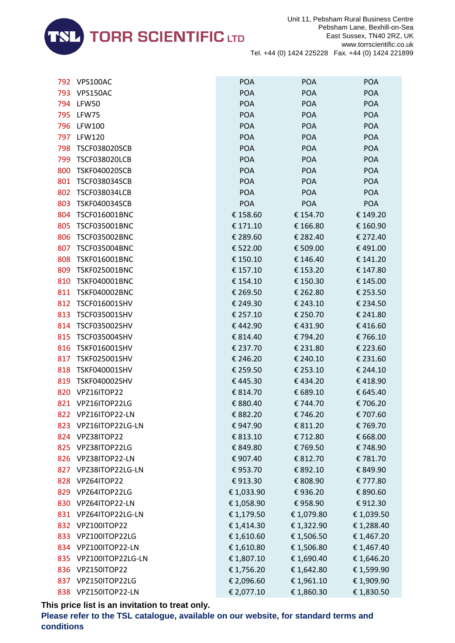

| 792 | VPS100AC              | <b>POA</b> | <b>POA</b> | <b>POA</b> |
|-----|-----------------------|------------|------------|------------|
| 793 | VPS150AC              | <b>POA</b> | <b>POA</b> | <b>POA</b> |
| 794 | LFW50                 | POA        | <b>POA</b> | <b>POA</b> |
| 795 | LFW75                 | <b>POA</b> | <b>POA</b> | <b>POA</b> |
| 796 | <b>LFW100</b>         | <b>POA</b> | <b>POA</b> | <b>POA</b> |
| 797 | <b>LFW120</b>         | <b>POA</b> | <b>POA</b> | <b>POA</b> |
| 798 | <b>TSCF038020SCB</b>  | <b>POA</b> | <b>POA</b> | <b>POA</b> |
| 799 | <b>TSCF038020LCB</b>  | POA        | <b>POA</b> | <b>POA</b> |
| 800 | <b>TSKF040020SCB</b>  | <b>POA</b> | <b>POA</b> | <b>POA</b> |
| 801 | <b>TSCF038034SCB</b>  | <b>POA</b> | <b>POA</b> | <b>POA</b> |
| 802 | <b>TSCF038034LCB</b>  | <b>POA</b> | <b>POA</b> | <b>POA</b> |
| 803 | <b>TSKF040034SCB</b>  | <b>POA</b> | <b>POA</b> | POA        |
| 804 | TSCF016001BNC         | € 158.60   | € 154.70   | € 149.20   |
| 805 | <b>TSCF035001BNC</b>  | € 171.10   | € 166.80   | € 160.90   |
| 806 | <b>TSCF035002BNC</b>  | € 289.60   | € 282.40   | € 272.40   |
| 807 | <b>TSCF035004BNC</b>  | € 522.00   | € 509.00   | €491.00    |
| 808 | <b>TSKF016001BNC</b>  | € 150.10   | € 146.40   | € 141.20   |
| 809 | <b>TSKF025001BNC</b>  | € 157.10   | € 153.20   | € 147.80   |
| 810 | <b>TSKF040001BNC</b>  | € 154.10   | € 150.30   | € 145.00   |
| 811 | <b>TSKF040002BNC</b>  | € 269.50   | € 262.80   | € 253.50   |
| 812 | <b>TSCF016001SHV</b>  | € 249.30   | € 243.10   | € 234.50   |
| 813 | TSCF035001SHV         | € 257.10   | € 250.70   | € 241.80   |
| 814 | <b>TSCF035002SHV</b>  | €442.90    | €431.90    | €416.60    |
| 815 | <b>TSCF035004SHV</b>  | € 814.40   | €794.20    | €766.10    |
| 816 | TSKF016001SHV         | € 237.70   | € 231.80   | € 223.60   |
| 817 | <b>TSKF025001SHV</b>  | € 246.20   | € 240.10   | € 231.60   |
| 818 | TSKF040001SHV         | € 259.50   | € 253.10   | € 244.10   |
| 819 | <b>TSKF040002SHV</b>  | €445.30    | €434.20    | €418.90    |
| 820 | VPZ16ITOP22           | € 814.70   | € 689.10   | € 645.40   |
| 821 | VPZ16ITOP22LG         | € 880.40   | € 744.70   | €706.20    |
|     | 822 VPZ16ITOP22-LN    | € 882.20   | €746.20    | € 707.60   |
|     | 823 VPZ16ITOP22LG-LN  | €947.90    | € 811.20   | € 769.70   |
|     | 824 VPZ38ITOP22       | € 813.10   | €712.80    | € 668.00   |
|     | 825 VPZ38ITOP22LG     | € 849.80   | €769.50    | €748.90    |
| 826 | VPZ38ITOP22-LN        | € 907.40   | € 812.70   | €781.70    |
| 827 | VPZ38ITOP22LG-LN      | €953.70    | € 892.10   | € 849.90   |
|     | 828 VPZ64ITOP22       | €913.30    | € 808.90   | € 777.80   |
|     | 829 VPZ64ITOP22LG     | € 1,033.90 | €936.20    | € 890.60   |
|     | 830 VPZ64ITOP22-LN    | € 1,058.90 | €958.90    | €912.30    |
|     | 831 VPZ64ITOP22LG-LN  | € 1,179.50 | €1,079.80  | € 1,039.50 |
| 832 | VPZ100ITOP22          | € 1,414.30 | € 1,322.90 | € 1,288.40 |
|     | 833 VPZ100ITOP22LG    | € 1,610.60 | € 1,506.50 | € 1,467.20 |
|     | 834 VPZ100ITOP22-LN   | € 1,610.80 | €1,506.80  | € 1,467.40 |
|     | 835 VPZ100ITOP22LG-LN | € 1,807.10 | € 1,690.40 | € 1,646.20 |
| 836 | VPZ150ITOP22          | € 1,756.20 | € 1,642.80 | € 1,599.90 |
| 837 | VPZ150ITOP22LG        | € 2,096.60 | € 1,961.10 | € 1,909.90 |
|     | 838 VPZ150ITOP22-LN   | € 2,077.10 | €1,860.30  | € 1,830.50 |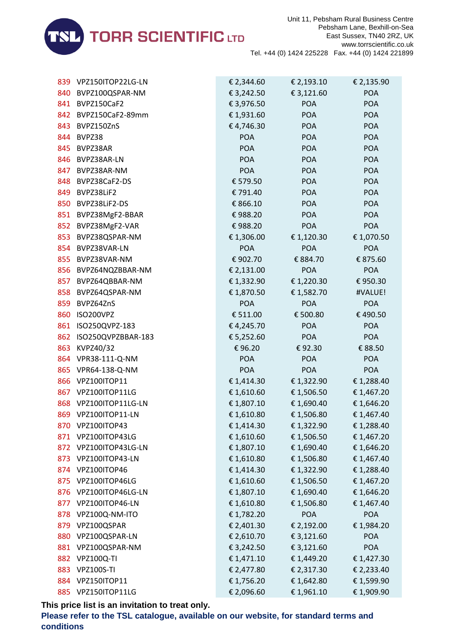

| 839  | VPZ150ITOP22LG-LN     | € 2,344.60 | € 2,193.10 | € 2,135.90 |
|------|-----------------------|------------|------------|------------|
| 840  | BVPZ100QSPAR-NM       | € 3,242.50 | € 3,121.60 | <b>POA</b> |
| 841  | BVPZ150CaF2           | € 3,976.50 | <b>POA</b> | <b>POA</b> |
|      | 842 BVPZ150CaF2-89mm  | € 1,931.60 | <b>POA</b> | <b>POA</b> |
| 843  | BVPZ150ZnS            | €4,746.30  | <b>POA</b> | <b>POA</b> |
| 844  | BVPZ38                | <b>POA</b> | <b>POA</b> | <b>POA</b> |
| 845  | BVPZ38AR              | <b>POA</b> | <b>POA</b> | <b>POA</b> |
| 846  | BVPZ38AR-LN           | <b>POA</b> | <b>POA</b> | <b>POA</b> |
| 847  | BVPZ38AR-NM           | <b>POA</b> | <b>POA</b> | <b>POA</b> |
| 848  | BVPZ38CaF2-DS         | € 579.50   | <b>POA</b> | <b>POA</b> |
| 849  | BVPZ38LiF2            | € 791.40   | <b>POA</b> | <b>POA</b> |
|      | 850 BVPZ38LiF2-DS     | € 866.10   | <b>POA</b> | <b>POA</b> |
|      | 851 BVPZ38MgF2-BBAR   | €988.20    | <b>POA</b> | <b>POA</b> |
| 852  | BVPZ38MgF2-VAR        | €988.20    | <b>POA</b> | <b>POA</b> |
| 853  | BVPZ38QSPAR-NM        | € 1,306.00 | € 1,120.30 | € 1,070.50 |
| 854  | BVPZ38VAR-LN          | <b>POA</b> | <b>POA</b> | <b>POA</b> |
| 855  | BVPZ38VAR-NM          | € 902.70   | € 884.70   | € 875.60   |
|      | 856 BVPZ64NQZBBAR-NM  | € 2,131.00 | <b>POA</b> | <b>POA</b> |
| 857  | BVPZ64QBBAR-NM        | € 1,332.90 | € 1,220.30 | €950.30    |
| 858  | BVPZ64QSPAR-NM        | € 1,870.50 | € 1,582.70 | #VALUE!    |
| 859  | BVPZ64ZnS             | <b>POA</b> | <b>POA</b> | <b>POA</b> |
| 860  | ISO200VPZ             | € 511.00   | € 500.80   | €490.50    |
| 861  | ISO250QVPZ-183        | €4,245.70  | <b>POA</b> | <b>POA</b> |
| 862  | ISO250QVPZBBAR-183    | € 5,252.60 | <b>POA</b> | <b>POA</b> |
| 863  | KVPZ40/32             | €96.20     | €92.30     | € 88.50    |
|      | 864 VPR38-111-Q-NM    | <b>POA</b> | <b>POA</b> | <b>POA</b> |
|      | 865 VPR64-138-Q-NM    | <b>POA</b> | <b>POA</b> | <b>POA</b> |
| 866  | VPZ100ITOP11          | € 1,414.30 | € 1,322.90 | € 1,288.40 |
|      | 867 VPZ100ITOP11LG    | € 1,610.60 | € 1,506.50 | € 1,467.20 |
|      | 868 VPZ100ITOP11LG-LN | € 1,807.10 | € 1,690.40 | € 1,646.20 |
|      | 869 VPZ100ITOP11-LN   | €1,610.80  | €1,506.80  | € 1,467.40 |
| 870. | VPZ100ITOP43          | € 1,414.30 | € 1,322.90 | € 1,288.40 |
| 871  | VPZ100ITOP43LG        | € 1,610.60 | € 1,506.50 | € 1,467.20 |
| 872  | VPZ100ITOP43LG-LN     | € 1,807.10 | € 1,690.40 | €1,646.20  |
| 873  | VPZ100ITOP43-LN       | € 1,610.80 | €1,506.80  | € 1,467.40 |
| 874  | VPZ100ITOP46          | € 1,414.30 | € 1,322.90 | € 1,288.40 |
| 875  | VPZ100ITOP46LG        | € 1,610.60 | € 1,506.50 | € 1,467.20 |
| 876  | VPZ100ITOP46LG-LN     | € 1,807.10 | € 1,690.40 | € 1,646.20 |
| 877  | VPZ100ITOP46-LN       | €1,610.80  | €1,506.80  | € 1,467.40 |
| 878  | VPZ100Q-NM-ITO        | € 1,782.20 | <b>POA</b> | <b>POA</b> |
| 879  | VPZ100QSPAR           | € 2,401.30 | € 2,192.00 | € 1,984.20 |
| 880  | VPZ100QSPAR-LN        | € 2,610.70 | € 3,121.60 | <b>POA</b> |
| 881  | VPZ100QSPAR-NM        | € 3,242.50 | € 3,121.60 | <b>POA</b> |
| 882  | <b>VPZ100Q-TI</b>     | € 1,471.10 | € 1,449.20 | € 1,427.30 |
| 883  | <b>VPZ100S-TI</b>     | € 2,477.80 | € 2,317.30 | € 2,233.40 |
| 884  | VPZ150ITOP11          | €1,756.20  | € 1,642.80 | € 1,599.90 |
|      | 885 VPZ150ITOP11LG    | € 2,096.60 | € 1,961.10 | € 1,909.90 |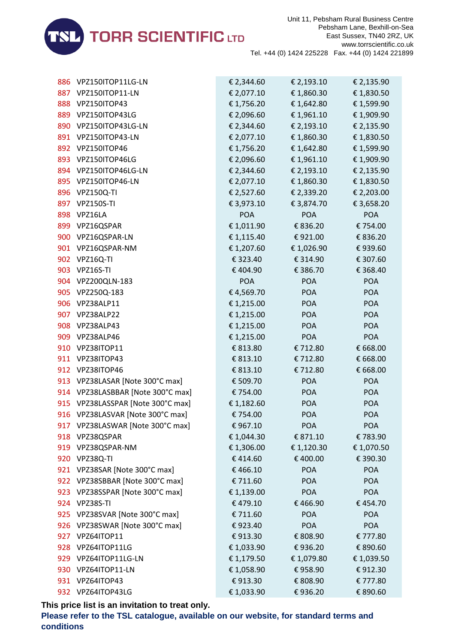

| 886 | VPZ150ITOP11LG-LN                 | € 2,344.60 | € 2,193.10 | € 2,135.90 |
|-----|-----------------------------------|------------|------------|------------|
|     | 887 VPZ150ITOP11-LN               | € 2,077.10 | € 1,860.30 | € 1,830.50 |
|     | 888 VPZ150ITOP43                  | € 1,756.20 | € 1,642.80 | € 1,599.90 |
|     | 889 VPZ150ITOP43LG                | € 2,096.60 | € 1,961.10 | € 1,909.90 |
| 890 | VPZ150ITOP43LG-LN                 | € 2,344.60 | € 2,193.10 | € 2,135.90 |
|     | 891 VPZ150ITOP43-LN               | € 2,077.10 | € 1,860.30 | € 1,830.50 |
|     | 892 VPZ150ITOP46                  | € 1,756.20 | € 1,642.80 | € 1,599.90 |
|     | 893 VPZ150ITOP46LG                | € 2,096.60 | € 1,961.10 | € 1,909.90 |
|     | 894 VPZ150ITOP46LG-LN             | € 2,344.60 | € 2,193.10 | € 2,135.90 |
|     | 895 VPZ150ITOP46-LN               | € 2,077.10 | € 1,860.30 | € 1,830.50 |
|     | 896 VPZ150Q-TI                    | € 2,527.60 | € 2,339.20 | € 2,203.00 |
|     | 897 VPZ150S-TI                    | € 3,973.10 | € 3,874.70 | € 3,658.20 |
|     | 898 VPZ16LA                       | <b>POA</b> | <b>POA</b> | <b>POA</b> |
| 899 | VPZ16QSPAR                        | € 1,011.90 | € 836.20   | € 754.00   |
|     | 900 VPZ16QSPAR-LN                 | € 1,115.40 | € 921.00   | € 836.20   |
|     | 901 VPZ16QSPAR-NM                 | € 1,207.60 | € 1,026.90 | €939.60    |
|     | 902 VPZ16Q-TI                     | € 323.40   | € 314.90   | € 307.60   |
|     | 903 VPZ16S-TI                     | €404.90    | € 386.70   | € 368.40   |
| 904 | VPZ200QLN-183                     | <b>POA</b> | POA        | <b>POA</b> |
|     | 905 VPZ250Q-183                   | €4,569.70  | <b>POA</b> | <b>POA</b> |
|     | 906 VPZ38ALP11                    | € 1,215.00 | <b>POA</b> | <b>POA</b> |
|     | 907 VPZ38ALP22                    | € 1,215.00 | <b>POA</b> | <b>POA</b> |
|     | 908 VPZ38ALP43                    | € 1,215.00 | <b>POA</b> | <b>POA</b> |
| 909 | VPZ38ALP46                        | € 1,215.00 | <b>POA</b> | <b>POA</b> |
|     | 910 VPZ38ITOP11                   | € 813.80   | € 712.80   | € 668.00   |
|     | 911 VPZ38ITOP43                   | € 813.10   | € 712.80   | € 668.00   |
|     | 912 VPZ38ITOP46                   | € 813.10   | € 712.80   | € 668.00   |
|     | 913 VPZ38LASAR [Note 300°C max]   | € 509.70   | <b>POA</b> | <b>POA</b> |
|     | 914 VPZ38LASBBAR [Note 300°C max] | € 754.00   | <b>POA</b> | <b>POA</b> |
|     | 915 VPZ38LASSPAR [Note 300°C max] | € 1,182.60 | <b>POA</b> | <b>POA</b> |
|     | 916 VPZ38LASVAR [Note 300°C max]  | € 754.00   | <b>POA</b> | <b>POA</b> |
|     | 917 VPZ38LASWAR [Note 300°C max]  | €967.10    | <b>POA</b> | <b>POA</b> |
|     | 918 VPZ38QSPAR                    | € 1,044.30 | € 871.10   | €783.90    |
|     | 919 VPZ38QSPAR-NM                 | € 1,306.00 | € 1,120.30 | € 1,070.50 |
| 920 | VPZ38Q-TI                         | €414.60    | € 400.00   | € 390.30   |
| 921 | VPZ38SAR [Note 300°C max]         | €466.10    | <b>POA</b> | <b>POA</b> |
|     | 922 VPZ38SBBAR [Note 300°C max]   | € 711.60   | <b>POA</b> | <b>POA</b> |
|     | 923 VPZ38SSPAR [Note 300°C max]   | € 1,139.00 | <b>POA</b> | <b>POA</b> |
|     | 924 VPZ38S-TI                     | €479.10    | €466.90    | €454.70    |
| 925 | VPZ38SVAR [Note 300°C max]        | € 711.60   | <b>POA</b> | <b>POA</b> |
| 926 | VPZ38SWAR [Note 300°C max]        | €923.40    | <b>POA</b> | <b>POA</b> |
|     | 927 VPZ64ITOP11                   | €913.30    | € 808.90   | € 777.80   |
|     | 928 VPZ64ITOP11LG                 | € 1,033.90 | €936.20    | € 890.60   |
|     | 929 VPZ64ITOP11LG-LN              | € 1,179.50 | € 1,079.80 | € 1,039.50 |
| 930 | VPZ64ITOP11-LN                    | € 1,058.90 | €958.90    | €912.30    |
|     | 931 VPZ64ITOP43                   | € 913.30   | € 808.90   | € 777.80   |
|     | 932 VPZ64ITOP43LG                 | € 1,033.90 | €936.20    | € 890.60   |